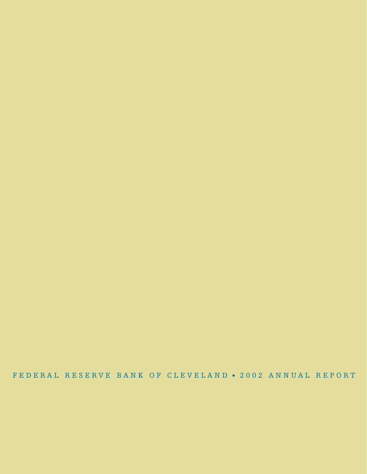FEDERAL RESERVE BANK OF CLEVELAND 2002 ANNUAL REPORT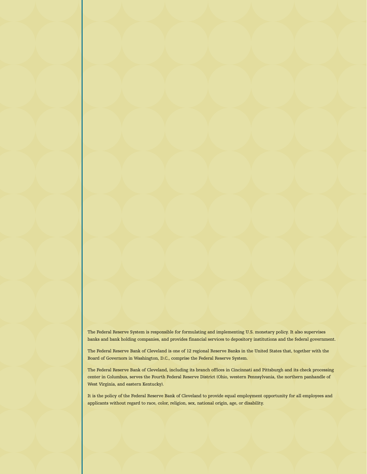The Federal Reserve System is responsible for formulating and implementing U.S. monetary policy. It also supervises banks and bank holding companies, and provides financial services to depository institutions and the federal government.

The Federal Reserve Bank of Cleveland is one of 12 regional Reserve Banks in the United States that, together with the Board of Governors in Washington, D.C., comprise the Federal Reserve System.

The Federal Reserve Bank of Cleveland, including its branch offices in Cincinnati and Pittsburgh and its check processing center in Columbus, serves the Fourth Federal Reserve District (Ohio, western Pennsylvania, the northern panhandle of West Virginia, and eastern Kentucky).

It is the policy of the Federal Reserve Bank of Cleveland to provide equal employment opportunity for all employees and applicants without regard to race, color, religion, sex, national origin, age, or disability.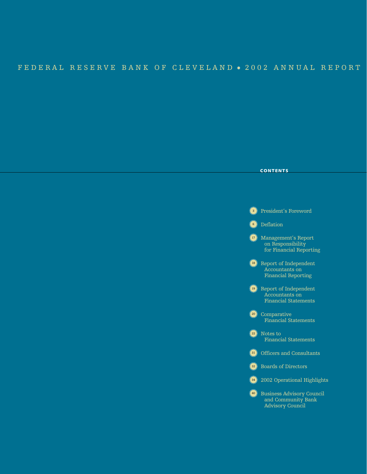# FEDERAL RESERVE BANK OF CLEVELAND . 2002 ANNUAL REPORT

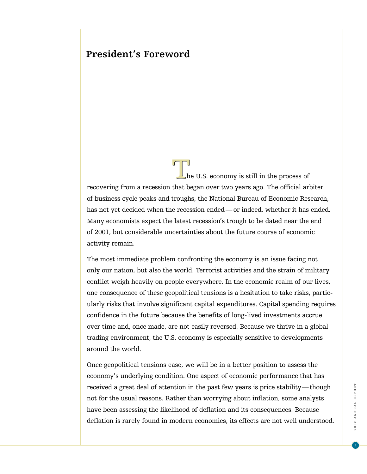# **President's Foreword**

he U.S. economy is still in the process of recovering from a recession that began over two years ago. The official arbiter of business cycle peaks and troughs, the National Bureau of Economic Research, has not yet decided when the recession ended — or indeed, whether it has ended. Many economists expect the latest recession's trough to be dated near the end of 2001, but considerable uncertainties about the future course of economic activity remain.  $\prod_{h}$ 

The most immediate problem confronting the economy is an issue facing not only our nation, but also the world. Terrorist activities and the strain of military conflict weigh heavily on people everywhere. In the economic realm of our lives, one consequence of these geopolitical tensions is a hesitation to take risks, particularly risks that involve significant capital expenditures. Capital spending requires confidence in the future because the benefits of long-lived investments accrue over time and, once made, are not easily reversed. Because we thrive in a global trading environment, the U.S. economy is especially sensitive to developments around the world.

Once geopolitical tensions ease, we will be in a better position to assess the economy's underlying condition. One aspect of economic performance that has received a great deal of attention in the past few years is price stability— though not for the usual reasons. Rather than worrying about inflation, some analysts have been assessing the likelihood of deflation and its consequences. Because deflation is rarely found in modern economies, its effects are not well understood.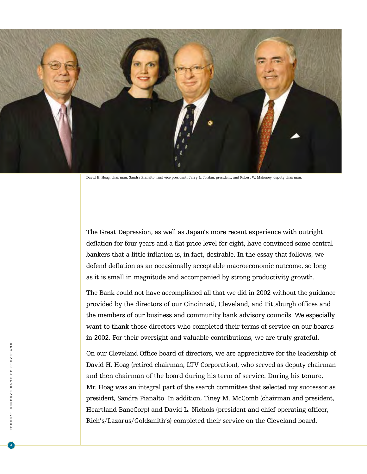

David H. Hoag, chairman; Sandra Pianalto, first vice president; Jerry L. Jordan, president; and Robert W. Mahoney, deputy chairman.

The Great Depression, as well as Japan's more recent experience with outright deflation for four years and a flat price level for eight, have convinced some central bankers that a little inflation is, in fact, desirable. In the essay that follows, we defend deflation as an occasionally acceptable macroeconomic outcome, so long as it is small in magnitude and accompanied by strong productivity growth.

The Bank could not have accomplished all that we did in 2002 without the guidance provided by the directors of our Cincinnati, Cleveland, and Pittsburgh offices and the members of our business and community bank advisory councils. We especially want to thank those directors who completed their terms of service on our boards in 2002. For their oversight and valuable contributions, we are truly grateful.

On our Cleveland Office board of directors, we are appreciative for the leadership of David H. Hoag (retired chairman, LTV Corporation), who served as deputy chairman and then chairman of the board during his term of service. During his tenure, Mr. Hoag was an integral part of the search committee that selected my successor as president, Sandra Pianalto. In addition, Tiney M. McComb (chairman and president, Heartland BancCorp) and David L. Nichols (president and chief operating officer, Rich's/Lazarus/Goldsmith's) completed their service on the Cleveland board.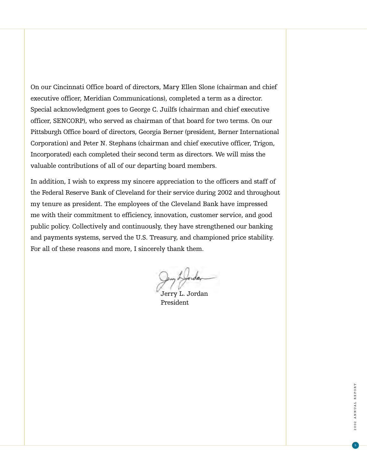On our Cincinnati Office board of directors, Mary Ellen Slone (chairman and chief executive officer, Meridian Communications), completed a term as a director. Special acknowledgment goes to George C. Juilfs (chairman and chief executive officer, SENCORP), who served as chairman of that board for two terms. On our Pittsburgh Office board of directors, Georgia Berner (president, Berner International Corporation) and Peter N. Stephans (chairman and chief executive officer, Trigon, Incorporated) each completed their second term as directors. We will miss the valuable contributions of all of our departing board members.

In addition, I wish to express my sincere appreciation to the officers and staff of the Federal Reserve Bank of Cleveland for their service during 2002 and throughout my tenure as president. The employees of the Cleveland Bank have impressed me with their commitment to efficiency, innovation, customer service, and good public policy. Collectively and continuously, they have strengthened our banking and payments systems, served the U.S. Treasury, and championed price stability. For all of these reasons and more, I sincerely thank them.

Jerry L. Jordan President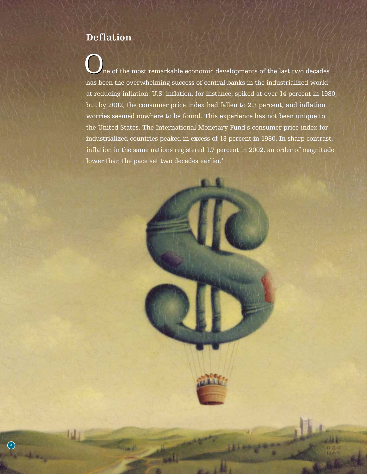# **Deflation**

ne of the most remarkable economic developments of the last two decades has been the overwhelming success of central banks in the industrialized world at reducing inflation. U.S. inflation, for instance, spiked at over 14 percent in 1980, but by 2002, the consumer price index had fallen to 2.3 percent, and inflation worries seemed nowhere to be found. This experience has not been unique to the United States. The International Monetary Fund's consumer price index for industrialized countries peaked in excess of 13 percent in 1980. In sharp contrast, inflation in the same nations registered 1.7 percent in 2002, an order of magnitude lower than the pace set two decades earlier.<sup>1</sup>  $\mathbf{O}_1$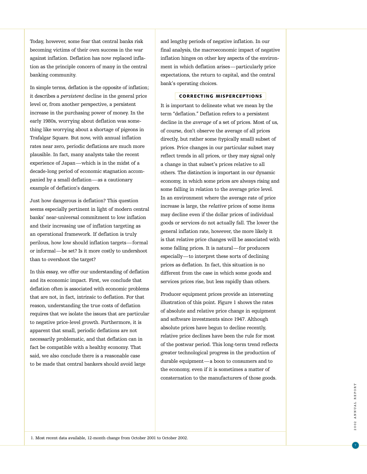Today, however, some fear that central banks risk becoming victims of their own success in the war against inflation. Deflation has now replaced inflation as the principle concern of many in the central banking community.

In simple terms, deflation is the opposite of inflation; it describes a *persistent* decline in the general price level or, from another perspective, a persistent increase in the purchasing power of money. In the early 1980s, worrying about deflation was something like worrying about a shortage of pigeons in Trafalgar Square. But now, with annual inflation rates near zero, periodic deflations are much more plausible. In fact, many analysts take the recent experience of Japan—which is in the midst of a decade-long period of economic stagnation accompanied by a small deflation—as a cautionary example of deflation's dangers.

Just how dangerous is deflation? This question seems especially pertinent in light of modern central banks' near-universal commitment to low inflation and their increasing use of inflation targeting as an operational framework. If deflation is truly perilous, how low should inflation targets—formal or informal—be set? Is it more costly to undershoot than to overshoot the target?

In this essay, we offer our understanding of deflation and its economic impact. First, we conclude that deflation often is associated with economic problems that are not, in fact, intrinsic to deflation. For that reason, understanding the true costs of deflation requires that we isolate the issues that are particular to negative price-level growth. Furthermore, it is apparent that small, periodic deflations are not necessarily problematic, and that deflation can in fact be compatible with a healthy economy. That said, we also conclude there is a reasonable case to be made that central bankers should avoid large

and lengthy periods of negative inflation. In our final analysis, the macroeconomic impact of negative inflation hinges on other key aspects of the environment in which deflation arises—particularly price expectations, the return to capital, and the central bank's operating choices.

#### CORRECTING MISPERCEPTIONS

It is important to delineate what we mean by the term "deflation." Deflation refers to a persistent decline in the *average* of a set of prices. Most of us, of course, don't observe the average of all prices directly, but rather some (typically small) subset of prices. Price changes in our particular subset may reflect trends in all prices, or they may signal only a change in that subset's prices relative to all others. The distinction is important in our dynamic economy, in which some prices are always rising and some falling in relation to the average price level. In an environment where the average rate of price increase is large, the *relative* prices of some items may decline even if the dollar prices of individual goods or services do not actually fall. The lower the general inflation rate, however, the more likely it is that relative price changes will be associated with some falling prices. It is natural—for producers especially—to interpret these sorts of declining prices as deflation. In fact, this situation is no different from the case in which some goods and services prices rise, but less rapidly than others.

Producer equipment prices provide an interesting illustration of this point. Figure 1 shows the rates of absolute and relative price change in equipment and software investments since 1947. Although absolute prices have begun to decline recently, relative price declines have been the rule for most of the postwar period. This long-term trend reflects greater technological progress in the production of durable equipment—a boon to consumers and to the economy, even if it is sometimes a matter of consternation to the manufacturers of those goods.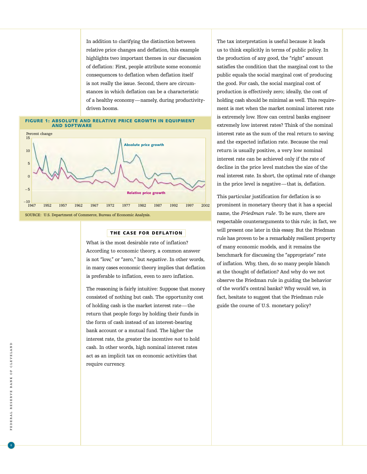In addition to clarifying the distinction between relative price changes and deflation, this example highlights two important themes in our discussion of deflation: First, people attribute some economic consequences to deflation when deflation itself is not really the issue. Second, there are circumstances in which deflation can be a characteristic of a healthy economy—namely, during productivitydriven booms.

#### FIGURE 1: ABSOLUTE AND RELATIVE PRICE GROWTH IN EQUIPMENT AND SOFTWARE



# THE CASE FOR DEFLATION

What is the most desirable rate of inflation? According to economic theory, a common answer is not "low," or "zero," but *negative*. In other words, in many cases economic theory implies that deflation is preferable to inflation, even to zero inflation.

The reasoning is fairly intuitive: Suppose that money consisted of nothing but cash. The opportunity cost of holding cash is the market interest rate—the return that people forgo by holding their funds in the form of cash instead of an interest-bearing bank account or a mutual fund. The higher the interest rate, the greater the incentive *not* to hold cash. In other words, high nominal interest rates act as an implicit tax on economic activities that require currency.

The tax interpretation is useful because it leads us to think explicitly in terms of public policy. In the production of any good, the "right" amount satisfies the condition that the marginal cost to the public equals the social marginal cost of producing the good. For cash, the social marginal cost of production is effectively zero; ideally, the cost of holding cash should be minimal as well. This requirement is met when the market nominal interest rate is extremely low. How can central banks engineer extremely low interest rates? Think of the nominal interest rate as the sum of the real return to saving and the expected inflation rate. Because the real return is usually positive, a very low nominal interest rate can be achieved only if the rate of decline in the price level matches the size of the real interest rate. In short, the optimal rate of change in the price level is negative—that is, deflation.

This particular justification for deflation is so prominent in monetary theory that it has a special name, the *Friedman rule*. To be sure, there are respectable counterarguments to this rule; in fact, we will present one later in this essay. But the Friedman rule has proven to be a remarkably resilient property of many economic models, and it remains the benchmark for discussing the "appropriate" rate of inflation. Why, then, do so many people blanch at the thought of deflation? And why do we not observe the Friedman rule in guiding the behavior of the world's central banks? Why would we, in fact, hesitate to suggest that the Friedman rule guide the course of U.S. monetary policy?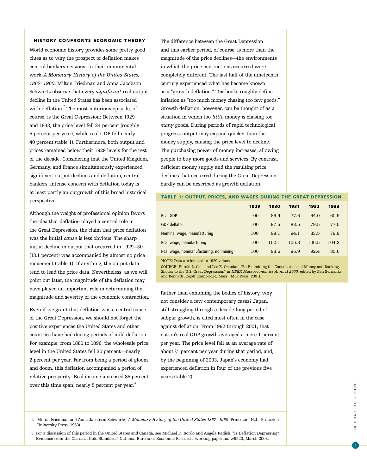#### HISTORY CONFRONTS ECONOMIC THEORY

World economic history provides some pretty good clues as to why the prospect of deflation makes central bankers nervous. In their monumental work *A Monetary History of the United States, 1867–1960*, Milton Friedman and Anna Jacobson Schwartz observe that every *significant* real output decline in the United States has been associated with deflation.<sup>2</sup> The most notorious episode, of course, is the Great Depression: Between 1929 and 1933, the price level fell 24 percent (roughly 5 percent per year), while real GDP fell nearly 40 percent (table 1). Furthermore, both output and prices remained below their 1929 levels for the rest of the decade. Considering that the United Kingdom, Germany, and France simultaneously experienced significant output declines and deflation, central bankers' intense concern with deflation today is at least partly an outgrowth of this broad historical perspective.

Although the weight of professional opinion favors the idea that deflation played a central role in the Great Depression, the claim that price deflation was the initial *cause* is less obvious. The sharp initial decline in output that occurred in 1929–30 (13.1 percent) was accompanied by almost no price movement (table 1). If anything, the output data tend to lead the price data. Nevertheless, as we will point out later, the magnitude of the deflation may have played an important role in determining the magnitude and severity of the economic contraction.

Even if we grant that deflation was a central cause of the Great Depression, we should not forget the positive experiences the United States and other countries have had during periods of mild deflation. For example, from 1880 to 1896, the wholesale price level in the United States fell 30 percent—nearly 2 percent per year. Far from being a period of gloom and doom, this deflation accompanied a period of relative prosperity: Real income increased 85 percent over this time span, nearly 5 percent per year.<sup>3</sup>

The difference between the Great Depression and this earlier period, of course, is more than the magnitude of the price declines—the environments in which the price contractions occurred were completely different. The last half of the nineteenth century experienced what has become known as a "growth deflation." Textbooks roughly define inflation as "too much money chasing too few goods." Growth deflation, however, can be thought of as a situation in which too *little* money is chasing too *many* goods. During periods of rapid technological progress, output may expand quicker than the money supply, causing the price level to decline. The purchasing power of money increases, allowing people to buy more goods and services. By contrast, deficient money supply and the resulting price declines that occurred during the Great Depression hardly can be described as growth deflation.

#### TABLE 1: OUTPUT, PRICES, AND WAGES DURING THE GREAT DEPRESSION

|                                        | 1929 | 1930  | 1931  | 1932  | 1933  |
|----------------------------------------|------|-------|-------|-------|-------|
| <b>Real GDP</b>                        | 100  | 86.9  | 77.6  | 64.0  | 60.9  |
| <b>GDP</b> deflator                    | 100  | 97.5  | 88.5  | 79.5  | 77.5  |
| Nominal wage, manufacturing            | 100  | 99.1  | 94.1  | 83.5  | 79.9  |
| Real wage, manufacturing               | 100  | 102.1 | 106.8 | 106.5 | 104.2 |
| Real wage, nonmanufacturing, nonmining | 100  | 98.6  | 96.9  | 92.4  | 85.6  |

NOTE: Data are indexed to 1929 values.

SOURCE: Harold L. Cole and Lee E. Ohanian, "Re-Examining the Contributions of Money and Banking Shocks to the U.S. Great Depression," in *NBER Macroeconomics Annual 2000,* edited by Ben Bernanke and Kenneth Rogoff (Cambridge, Mass.: MIT Press, 2001).

Rather than exhuming the bodies of history, why not consider a few contemporary cases? Japan, still struggling through a decade-long period of subpar growth, is cited most often in the case against deflation. From 1992 through 2001, that nation's real GDP growth averaged a mere 1 percent per year. The price level fell at an average rate of about 1 /2 percent per year during that period, and, by the beginning of 2003, Japan's economy had experienced deflation in four of the previous five years (table 2).

2. Milton Friedman and Anna Jacobson Schwartz, *A Monetary History of the United States 1867–1960* (Princeton, N.J.: Princeton University Press, 1963).

3. For a discussion of this period in the United States and Canada, see Michael D. Bordo and Angela Redish, "Is Deflation Depressing? Evidence from the Classical Gold Standard," National Bureau of Economic Research, working paper no. w9520, March 2003.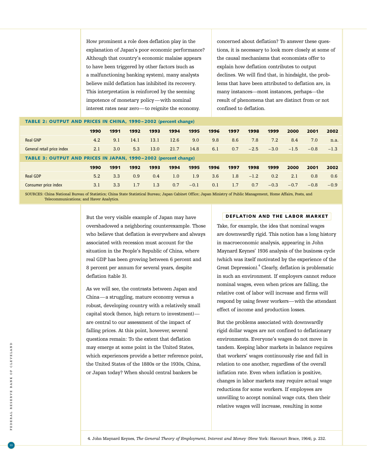How prominent a role does deflation play in the explanation of Japan's poor economic performance? Although that country's economic malaise appears to have been triggered by other factors (such as a malfunctioning banking system), many analysts believe mild deflation has inhibited its recovery. This interpretation is reinforced by the seeming impotence of monetary policy—with nominal interest rates near zero—to reignite the economy.

concerned about deflation? To answer these questions, it is necessary to look more closely at some of the causal mechanisms that economists offer to explain how deflation contributes to output declines. We will find that, in hindsight, the problems that have been attributed to deflation are, in many instances—most instances, perhaps—the result of phenomena that are distinct from or not confined to deflation.

# TABLE 2: OUTPUT AND PRICES IN CHINA, 1990 – 2002 (percent change)

|                                                                 | 1990 | 1991 | 1992 | 1993 | 1994 | 1995   | 1996 | 1997 | 1998   | 1999   | 2000   | 2001   | 2002   |
|-----------------------------------------------------------------|------|------|------|------|------|--------|------|------|--------|--------|--------|--------|--------|
| <b>Real GNP</b>                                                 | 4.2  | 9.1  | 14.1 | 13.1 | 12.6 | 9.0    | 9.8  | 8.6  | 7.8    | 7.2    | 8.4    | 7.0    | n.a.   |
| General retail price index                                      | 2.1  | 3.0  | 5.3  | 13.0 | 21.7 | 14.8   | 6.1  | 0.7  | $-2.5$ | $-3.0$ | $-1.5$ | $-0.8$ | $-1.3$ |
| TABLE 3: OUTPUT AND PRICES IN JAPAN, 1990-2002 (percent change) |      |      |      |      |      |        |      |      |        |        |        |        |        |
|                                                                 | 1990 | 1991 | 1992 | 1993 | 1994 | 1995   | 1996 | 1997 | 1998   | 1999   | 2000   | 2001   | 2002   |
| <b>Real GDP</b>                                                 | 5.2  | 3.3  | 0.9  | 0.4  | 1.0  | 1.9    | 3.6  | 1.8  | $-1.2$ | 0.2    | 2.1    | 0.8    | 0.6    |
| <b>Consumer price index</b>                                     | 3.1  | 3.3  | 1.7  | 1.3  | 0.7  | $-0.1$ | 0.1  | 1.7  | 0.7    | $-0.3$ | $-0.7$ | $-0.8$ | $-0.9$ |

SOURCES: China National Bureau of Statistics; China State Statistical Bureau; Japan Cabinet Office; Japan Ministry of Public Management, Home Affairs, Posts, and Telecommunications; and Haver Analytics.

> But the very visible example of Japan may have overshadowed a neighboring counterexample. Those who believe that deflation is everywhere and always associated with recession must account for the situation in the People's Republic of China, where real GDP has been growing between 6 percent and 8 percent per annum for several years, despite deflation (table 3).

As we will see, the contrasts between Japan and China—a struggling, mature economy versus a robust, developing country with a relatively small capital stock (hence, high return to investment) are central to our assessment of the impact of falling prices. At this point, however, several questions remain: To the extent that deflation may emerge at some point in the United States, which experiences provide a better reference point, the United States of the 1880s or the 1930s, China, or Japan today? When should central bankers be

# DEFLATION AND THE LABOR MARKET

Take, for example, the idea that nominal wages are downwardly rigid. This notion has a long history in macroeconomic analysis, appearing in John Maynard Keynes' 1936 analysis of the business cycle (which was itself motivated by the experience of the Great Depression).<sup>4</sup> Clearly, deflation is problematic in such an environment. If employers cannot reduce nominal wages, even when prices are falling, the relative cost of labor will increase and firms will respond by using fewer workers—with the attendant effect of income and production losses.

But the problems associated with downwardly rigid dollar wages are not confined to deflationary environments. Everyone's wages do not move in tandem. Keeping labor markets in balance requires that workers' wages continuously rise and fall in relation to one another, regardless of the overall inflation rate. Even when inflation is positive, changes in labor markets may require actual wage reductions for some workers. If employees are unwilling to accept nominal wage cuts, then their relative wages will increase, resulting in some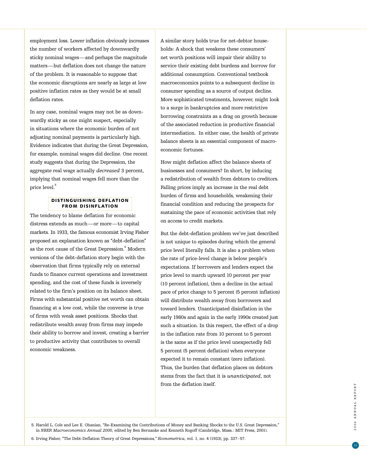employment loss. Lower inflation obviously increases the number of workers affected by downwardly sticky nominal wages—and perhaps the magnitude matters—but deflation does not change the nature of the problem. It is reasonable to suppose that the economic disruptions are nearly as large at low positive inflation rates as they would be at small deflation rates.

In any case, nominal wages may not be as downwardly sticky as one might suspect, especially in situations where the economic burden of not adjusting nominal payments is particularly high. Evidence indicates that during the Great Depression, for example, nominal wages did decline. One recent study suggests that during the Depression, the aggregate real wage actually *decreased* 3 percent, implying that nominal wages fell more than the price level.<sup>5</sup>

# DISTINGUISHING DEFLATION FROM DISINFLATION

The tendency to blame deflation for economic distress extends as much—or more—to capital markets. In 1933, the famous economist Irving Fisher proposed an explanation known as "debt-deflation" as the root cause of the Great Depression.<sup>6</sup> Modern versions of the debt-deflation story begin with the observation that firms typically rely on external funds to finance current operations and investment spending, and the cost of these funds is inversely related to the firm's position on its balance sheet. Firms with substantial positive net worth can obtain financing at a low cost, while the converse is true of firms with weak asset positions. Shocks that redistribute wealth away from firms may impede their ability to borrow and invest, creating a barrier to productive activity that contributes to overall economic weakness.

A similar story holds true for net-debtor households: A shock that weakens these consumers' net worth positions will impair their ability to service their existing debt burdens and borrow for additional consumption. Conventional textbook macroeconomics points to a subsequent decline in consumer spending as a source of output decline. More sophisticated treatments, however, might look to a surge in bankruptcies and more restrictive borrowing constraints as a drag on growth because of the associated reduction in productive financial intermediation. In either case, the health of private balance sheets is an essential component of macroeconomic fortunes.

How might deflation affect the balance sheets of businesses and consumers? In short, by inducing a redistribution of wealth from debtors to creditors. Falling prices imply an increase in the real debt burden of firms and households, weakening their financial condition and reducing the prospects for sustaining the pace of economic activities that rely on access to credit markets.

But the debt-deflation problem we've just described is not unique to episodes during which the general price level literally falls. It is also a problem when the rate of price-level change is below people's expectations. If borrowers and lenders expect the price level to march upward 10 percent per year (10 percent inflation), then a decline in the actual pace of price change to 5 percent (5 percent inflation) will distribute wealth away from borrowers and toward lenders. Unanticipated disinflation in the early 1980s and again in the early 1990s created just such a situation. In this respect, the effect of a drop in the inflation rate from 10 percent to 5 percent is the same as if the price level unexpectedly fell 5 percent (5 percent deflation) when everyone expected it to remain constant (zero inflation). Thus, the burden that deflation places on debtors stems from the fact that it is *unanticipated*, not from the deflation itself.

5. Harold L. Cole and Lee E. Ohanian, "Re-Examining the Contributions of Money and Banking Shocks to the U.S. Great Depression," in *NBER Macroeconomics Annual 2000*, edited by Ben Bernanke and Kenneth Rogoff (Cambridge, Mass.: MIT Press, 2001).

6. Irving Fisher, "The Debt-Deflation Theory of Great Depressions," *Econometrica*, vol. 1, no. 4 (1933), pp. 337–57.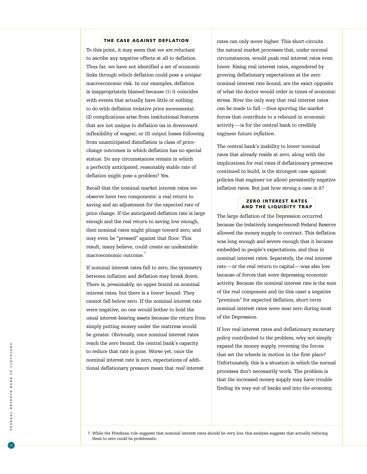#### THE CASE AGAINST DEFLATION

To this point, it may seem that we are reluctant to ascribe any negative effects at all to deflation. Thus far, we have not identified a set of economic links through which deflation could pose a *unique* macroeconomic risk. In our examples, deflation is inappropriately blamed because (1) it coincides with events that actually have little or nothing to do with deflation (relative price movements); (2) complications arise from institutional features that are not unique to deflation (as in downward inflexibility of wages); or (3) output losses following from unanticipated disinflation (a class of pricechange outcomes in which deflation has no special status). Do any circumstances remain in which a perfectly anticipated, reasonably stable rate of deflation might pose a problem? Yes.

Recall that the nominal market interest rates we observe have two components: a real return to saving and an adjustment for the expected rate of price change. If the anticipated deflation rate is large enough and the real return to saving low enough, then nominal rates might plunge toward zero, and may even be "pressed" against that floor. This result, many believe, could create an undesirable macroeconomic outcome.<sup>7</sup>

If nominal interest rates fall to zero, the symmetry between inflation and deflation may break down. There is, presumably, no upper bound on nominal interest rates, but there is a *lower* bound: They cannot fall below zero. If the nominal interest rate were negative, no one would bother to hold the usual interest-bearing assets because the return from simply putting money under the mattress would be greater. Obviously, once nominal interest rates reach the zero bound, the central bank's capacity to reduce that rate is gone. Worse yet, once the nominal interest rate is zero, expectations of additional deflationary pressure mean that *real* interest

rates can only move higher. This short-circuits the natural market processes that, under normal circumstances, would push real interest rates even lower. Rising real interest rates, engendered by growing deflationary expectations at the zero nominal interest rate bound, are the exact opposite of what the doctor would order in times of economic stress. Now the only way that real interest rates can be made to fall—thus spurring the market forces that contribute to a rebound in economic activity—is for the central bank to credibly engineer future *inflation* .

The central bank's inability to lower nominal rates that already reside at zero, along with the implications for real rates if deflationary pressures continued to build, is the strongest case against policies that engineer (or allow) persistently negative inflation rates. But just how strong a case is it?

# ZERO INTEREST RATES AND THE LIQUIDITY TRAP

The large deflation of the Depression occurred because the (relatively inexperienced) Federal Reserve allowed the money supply to contract. This deflation was long enough and severe enough that it became embedded in people's expectations, and thus in nominal interest rates. Separately, the real interest rate—or the real return to capital—was also low because of forces that were depressing economic activity. Because the nominal interest rate is the sum of the real component and (in this case) a negative "premium" for expected deflation, short-term nominal interest rates were near zero during most of the Depression.

If low real interest rates and deflationary monetary policy contributed to the problem, why not simply expand the money supply, reversing the forces that set the wheels in motion in the first place? Unfortunately, this is a situation in which the normal processes don't necessarily work. The problem is that the increased money supply may have trouble finding its way out of banks and into the economy,

7. While the Friedman rule suggests that nominal interest rates should be very low, this analysis suggests that actually reducin g them to zero could be problematic.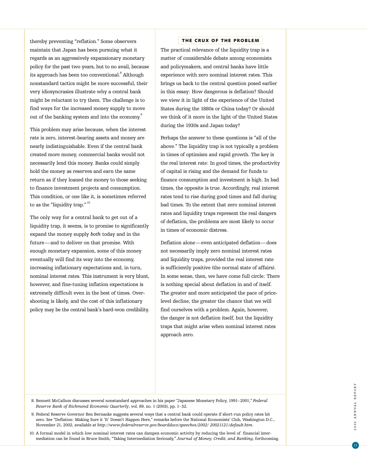thereby preventing "reflation." Some observers maintain that Japan has been pursuing what it regards as an aggressively expansionary monetary policy for the past two years, but to no avail, because its approach has been too conventional.<sup>8</sup> Although nonstandard tactics might be more successful, their very idiosyncrasies illustrate why a central bank might be reluctant to try them. The challenge is to find ways for the increased money supply to move out of the banking system and into the economy.<sup>9</sup>

This problem may arise because, when the interest rate is zero, interest-bearing assets and money are nearly indistinguishable. Even if the central bank created more money, commercial banks would not necessarily lend this money. Banks could simply hold the money as reserves and earn the same return as if they loaned the money to those seeking to finance investment projects and consumption. This condition, or one like it, is sometimes referred to as the "liquidity trap." 10

The only way for a central bank to get out of a liquidity trap, it seems, is to promise to significantly expand the money supply *both* today and in the future—and to deliver on that promise. With enough monetary expansion, some of this money eventually will find its way into the economy, increasing inflationary expectations and, in turn, nominal interest rates. This instrument is very blunt, however, and fine-tuning inflation expectations is extremely difficult even in the best of times. Overshooting is likely, and the cost of this inflationary policy may be the central bank's hard-won credibility.

### THE CRUX OF THE PROBLEM

The practical relevance of the liquidity trap is a matter of considerable debate among economists and policymakers, and central banks have little experience with zero nominal interest rates. This brings us back to the central question posed earlier in this essay: How dangerous is deflation? Should we view it in light of the experience of the United States during the 1880s or China today? Or should we think of it more in the light of the United States during the 1930s and Japan today?

Perhaps the answer to these questions is "all of the above." The liquidity trap is not typically a problem in times of optimism and rapid growth. The key is the real interest rate: In good times, the productivity of capital is rising and the demand for funds to finance consumption and investment is high. In bad times, the opposite is true. Accordingly, real interest rates tend to rise during good times and fall during bad times. To the extent that zero nominal interest rates and liquidity traps represent the real dangers of deflation, the problems are most likely to occur in times of economic distress.

Deflation alone—even anticipated deflation—does not necessarily imply zero nominal interest rates and liquidity traps, provided the real interest rate is sufficiently positive (the normal state of affairs). In some sense, then, we have come full circle: There is nothing special about deflation in and of itself. The greater and more anticipated the pace of pricelevel decline, the greater the chance that we will find ourselves with a problem. Again, however, the danger is not deflation itself, but the liquidity traps that might arise when nominal interest rates approach zero.

8. Bennett McCallum discusses several nonstandard approaches in his paper "Japanese Monetary Policy, 1991–2001," *Federal Reserve Bank of Richmond Economic Quarterly*, vol. 89, no. 1 (2003), pp. 1–32.

9. Federal Reserve Governor Ben Bernanke suggests several ways that a central bank could operate if short-run policy rates hit zero. See "Deflation: Making Sure it 'It' Doesn't Happen Here," remarks before the National Economists' Club, Washington D.C., November 21, 2002, available at *http://www.federalreserve.gov/boarddocs/speeches/2002/ 20021121/default.htm*.

10. A formal model in which low nominal interest rates can dampen economic activity by reducing the level of financial intermediation can be found in Bruce Smith, "Taking Intermediation Seriously," *Journal of Money, Credit, and Banking*, forthcoming.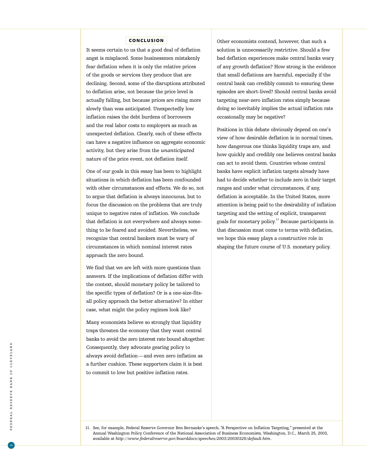## CONCLUSION

It seems certain to us that a good deal of deflation angst is misplaced. Some businessmen mistakenly fear deflation when it is only the relative prices of the goods or services they produce that are declining. Second, some of the disruptions attributed to deflation arise, not because the price level is actually falling, but because prices are rising more slowly than was anticipated. Unexpectedly low inflation raises the debt burdens of borrowers and the real labor costs to employers as much as unexpected deflation. Clearly, each of these effects can have a negative influence on aggregate economic activity, but they arise from the *unanticipated* nature of the price event, not deflation itself.

One of our goals in this essay has been to highlight situations in which deflation has been confounded with other circumstances and effects. We do so, not to argue that deflation is always innocuous, but to focus the discussion on the problems that are truly unique to negative rates of inflation. We conclude that deflation is not everywhere and always something to be feared and avoided. Nevertheless, we recognize that central bankers must be wary of circumstances in which nominal interest rates approach the zero bound.

We find that we are left with more questions than answers. If the implications of deflation differ with the context, should monetary policy be tailored to the specific types of deflation? Or is a one-size-fitsall policy approach the better alternative? In either case, what might the policy regimes look like?

Many economists believe so strongly that liquidity traps threaten the economy that they want central banks to avoid the zero interest rate bound altogether. Consequently, they advocate gearing policy to always avoid deflation—and even zero inflation as a further cushion. These supporters claim it is best to commit to low but positive inflation rates.

Other economists contend, however, that such a solution is unnecessarily restrictive. Should a few bad deflation experiences make central banks wary of any growth deflation? How strong is the evidence that small deflations are harmful, especially if the central bank can credibly commit to ensuring these episodes are short-lived? Should central banks avoid targeting near-zero inflation rates simply because doing so inevitably implies the actual inflation rate occasionally may be negative?

Positions in this debate obviously depend on one's view of how desirable deflation is in normal times, how dangerous one thinks liquidity traps are, and how quickly and credibly one believes central banks can act to avoid them. Countries whose central banks have explicit inflation targets already have had to decide whether to include zero in their target ranges and under what circumstances, if any, deflation is acceptable. In the United States, more attention is being paid to the desirability of inflation targeting and the setting of explicit, transparent goals for monetary policy.<sup>11</sup> Because participants in that discussion must come to terms with deflation, we hope this essay plays a constructive role in shaping the future course of U.S. monetary policy.

<sup>11.</sup> See, for example, Federal Reserve Governor Ben Bernanke's speech, "A Perspective on Inflation Targeting," presented at the Annual Washington Policy Conference of the National Association of Business Economists, Washington, D.C., March 25, 2003, available at *http://www.federalreserve.gov/boarddocs/speeches/2003/20030325/default.htm*.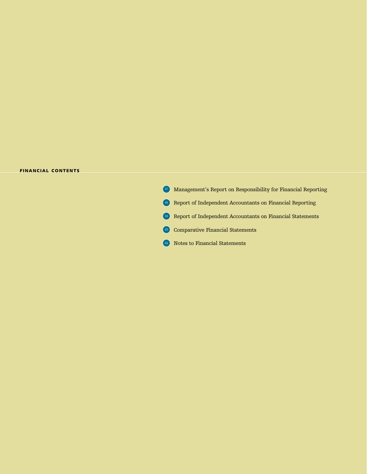### FINANCIAL CONTENTS

<sup>17</sup> Management's Report on Responsibility for Financial Reporting 18 Report of Independent Accountants on Financial Reporting <sup>19</sup> Report of Independent Accountants on Financial Statements 20 Comparative Financial Statements 22 Notes to Financial Statements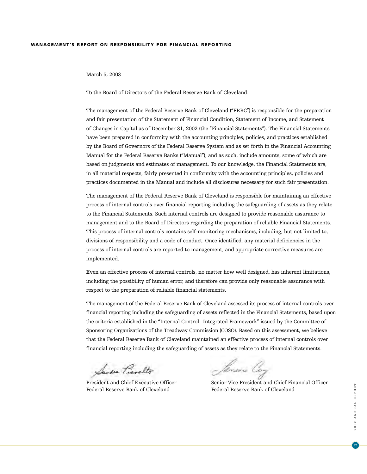# MANAGEMENT'S REPORT ON RESPONSIBILITY FOR FINANCIAL REPORTING

### March 5, 2003

To the Board of Directors of the Federal Reserve Bank of Cleveland:

The management of the Federal Reserve Bank of Cleveland ("FRBC") is responsible for the preparation and fair presentation of the Statement of Financial Condition, Statement of Income, and Statement of Changes in Capital as of December 31, 2002 (the "Financial Statements"). The Financial Statements have been prepared in conformity with the accounting principles, policies, and practices established by the Board of Governors of the Federal Reserve System and as set forth in the Financial Accounting Manual for the Federal Reserve Banks ("Manual"), and as such, include amounts, some of which are based on judgments and estimates of management. To our knowledge, the Financial Statements are, in all material respects, fairly presented in conformity with the accounting principles, policies and practices documented in the Manual and include all disclosures necessary for such fair presentation.

The management of the Federal Reserve Bank of Cleveland is responsible for maintaining an effective process of internal controls over financial reporting including the safeguarding of assets as they relate to the Financial Statements. Such internal controls are designed to provide reasonable assurance to management and to the Board of Directors regarding the preparation of reliable Financial Statements. This process of internal controls contains self-monitoring mechanisms, including, but not limited to, divisions of responsibility and a code of conduct. Once identified, any material deficiencies in the process of internal controls are reported to management, and appropriate corrective measures are implemented.

Even an effective process of internal controls, no matter how well designed, has inherent limitations, including the possibility of human error, and therefore can provide only reasonable assurance with respect to the preparation of reliable financial statements.

The management of the Federal Reserve Bank of Cleveland assessed its process of internal controls over financial reporting including the safeguarding of assets reflected in the Financial Statements, based upon the criteria established in the "Internal Control–Integrated Framework" issued by the Committee of Sponsoring Organizations of the Treadway Commission (COSO). Based on this assessment, we believe that the Federal Reserve Bank of Cleveland maintained an effective process of internal controls over financial reporting including the safeguarding of assets as they relate to the Financial Statements.

Sandra Pianelto

Federal Reserve Bank of Cleveland Federal Reserve Bank of Cleveland

Jamesu Coy

President and Chief Executive Officer Senior Vice President and Chief Financial Officer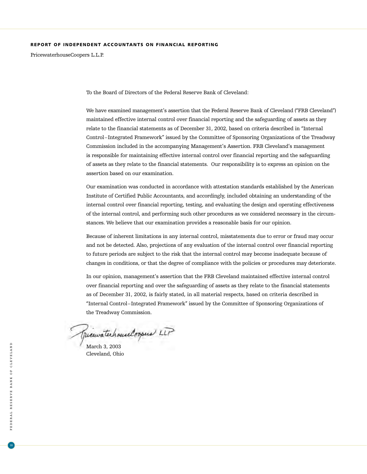# REPORT OF INDEPENDENT ACCOUNTANTS ON FINANCIAL REPORTING

PricewaterhouseCoopers L.L.P.

To the Board of Directors of the Federal Reserve Bank of Cleveland:

We have examined management's assertion that the Federal Reserve Bank of Cleveland ("FRB Cleveland") maintained effective internal control over financial reporting and the safeguarding of assets as they relate to the financial statements as of December 31, 2002, based on criteria described in "Internal Control–Integrated Framework" issued by the Committee of Sponsoring Organizations of the Treadway Commission included in the accompanying Management's Assertion. FRB Cleveland's management is responsible for maintaining effective internal control over financial reporting and the safeguarding of assets as they relate to the financial statements. Our responsibility is to express an opinion on the assertion based on our examination.

Our examination was conducted in accordance with attestation standards established by the American Institute of Certified Public Accountants, and accordingly, included obtaining an understanding of the internal control over financial reporting, testing, and evaluating the design and operating effectiveness of the internal control, and performing such other procedures as we considered necessary in the circumstances. We believe that our examination provides a reasonable basis for our opinion.

Because of inherent limitations in any internal control, misstatements due to error or fraud may occur and not be detected. Also, projections of any evaluation of the internal control over financial reporting to future periods are subject to the risk that the internal control may become inadequate because of changes in conditions, or that the degree of compliance with the policies or procedures may deteriorate.

In our opinion, management's assertion that the FRB Cleveland maintained effective internal control over financial reporting and over the safeguarding of assets as they relate to the financial statements as of December 31, 2002, is fairly stated, in all material respects, based on criteria described in "Internal Control–Integrated Framework" issued by the Committee of Sponsoring Organizations of the Treadway Commission.

picewaterhouseloopers LLP

Cleveland, Ohio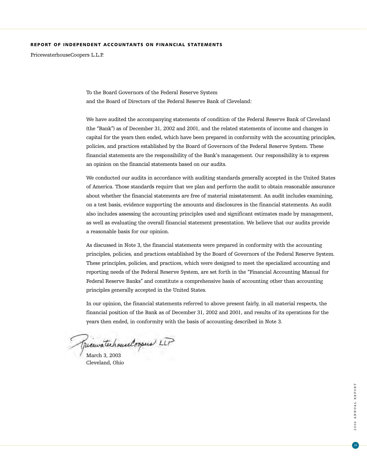# REPORT OF INDEPENDENT ACCOUNTANTS ON FINANCIAL STATEMENTS

PricewaterhouseCoopers L.L.P.

To the Board Governors of the Federal Reserve System and the Board of Directors of the Federal Reserve Bank of Cleveland:

We have audited the accompanying statements of condition of the Federal Reserve Bank of Cleveland (the "Bank") as of December 31, 2002 and 2001, and the related statements of income and changes in capital for the years then ended, which have been prepared in conformity with the accounting principles, policies, and practices established by the Board of Governors of the Federal Reserve System. These financial statements are the responsibility of the Bank's management. Our responsibility is to express an opinion on the financial statements based on our audits.

We conducted our audits in accordance with auditing standards generally accepted in the United States of America. Those standards require that we plan and perform the audit to obtain reasonable assurance about whether the financial statements are free of material misstatement. An audit includes examining, on a test basis, evidence supporting the amounts and disclosures in the financial statements. An audit also includes assessing the accounting principles used and significant estimates made by management, as well as evaluating the overall financial statement presentation. We believe that our audits provide a reasonable basis for our opinion.

As discussed in Note 3, the financial statements were prepared in conformity with the accounting principles, policies, and practices established by the Board of Governors of the Federal Reserve System. These principles, policies, and practices, which were designed to meet the specialized accounting and reporting needs of the Federal Reserve System, are set forth in the "Financial Accounting Manual for Federal Reserve Banks" and constitute a comprehensive basis of accounting other than accounting principles generally accepted in the United States.

In our opinion, the financial statements referred to above present fairly, in all material respects, the financial position of the Bank as of December 31, 2002 and 2001, and results of its operations for the years then ended, in conformity with the basis of accounting described in Note 3.

March 3, 2003

Cleveland, Ohio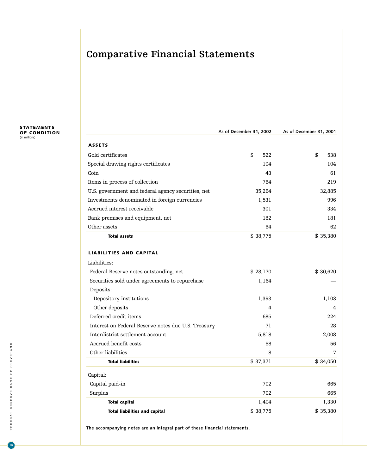# **Comparative Financial Statements**

STATEMENTS OF CONDITION (in millions)

|                                                     | As of December 31, 2002 | As of December 31, 2001 |  |
|-----------------------------------------------------|-------------------------|-------------------------|--|
| <b>ASSETS</b>                                       |                         |                         |  |
| Gold certificates                                   | \$<br>522               | \$<br>538               |  |
| Special drawing rights certificates                 | 104                     | 104                     |  |
| Coin                                                | 43                      | 61                      |  |
| Items in process of collection                      | 764                     | 219                     |  |
| U.S. government and federal agency securities, net  | 35,264                  | 32,885                  |  |
| Investments denominated in foreign currencies       | 1,531                   | 996                     |  |
| Accrued interest receivable                         | 301                     | 334                     |  |
| Bank premises and equipment, net                    | 182                     | 181                     |  |
| Other assets                                        | 64                      | 62                      |  |
| <b>Total assets</b>                                 | \$38,775                | \$35,380                |  |
| <b>LIABILITIES AND CAPITAL</b>                      |                         |                         |  |
| Liabilities:                                        |                         |                         |  |
| Federal Reserve notes outstanding, net              | \$28,170                | \$30,620                |  |
| Securities sold under agreements to repurchase      | 1,164                   |                         |  |
| Deposits:                                           |                         |                         |  |
| Depository institutions                             | 1,393                   | 1,103                   |  |
| Other deposits                                      | 4                       | 4                       |  |
| Deferred credit items                               | 685                     | 224                     |  |
| Interest on Federal Reserve notes due U.S. Treasury | 71                      | 28                      |  |
| Interdistrict settlement account                    | 5,818                   | 2,008                   |  |
| Accrued benefit costs                               | 58                      | 56                      |  |
| Other liabilities                                   | 8                       | 7                       |  |
| <b>Total liabilities</b>                            | \$37,371                | \$34,050                |  |
| Capital:                                            |                         |                         |  |
| Capital paid-in                                     | 702                     | 665                     |  |
| Surplus                                             | 702                     | 665                     |  |
| <b>Total capital</b>                                | 1,404                   | 1,330                   |  |
| <b>Total liabilities and capital</b>                | \$38,775                | \$35,380                |  |
|                                                     |                         |                         |  |

**The accompanying notes are an integral part of these financial statements.**

 $\boxed{20}$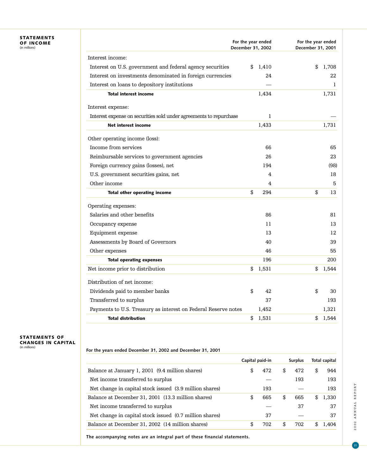# STATEMENTS OF INCOME (in millions)

|                                                                    | For the year ended<br>December 31, 2002 | For the year ended<br>December 31, 2001 |
|--------------------------------------------------------------------|-----------------------------------------|-----------------------------------------|
| Interest income:                                                   |                                         |                                         |
| Interest on U.S. government and federal agency securities          | 1,410<br>\$                             | \$<br>1,708                             |
| Interest on investments denominated in foreign currencies          | 24                                      | 22                                      |
| Interest on loans to depository institutions                       |                                         | 1                                       |
| <b>Total interest income</b>                                       | 1,434                                   | 1,731                                   |
| Interest expense:                                                  |                                         |                                         |
| Interest expense on securities sold under agreements to repurchase | 1                                       |                                         |
| <b>Net interest income</b>                                         | 1,433                                   | 1,731                                   |
| Other operating income (loss):                                     |                                         |                                         |
| Income from services                                               | 66                                      | 65                                      |
| Reimbursable services to government agencies                       | 26                                      | 23                                      |
| Foreign currency gains (losses), net                               | 194                                     | (98)                                    |
| U.S. government securities gains, net                              | 4                                       | 18                                      |
| Other income                                                       | 4                                       | 5                                       |
| Total other operating income                                       | \$<br>294                               | \$<br>13                                |
| Operating expenses:                                                |                                         |                                         |
| Salaries and other benefits                                        | 86                                      | 81                                      |
| Occupancy expense                                                  | 11                                      | 13                                      |
| Equipment expense                                                  | 13                                      | 12                                      |
| Assessments by Board of Governors                                  | 40                                      | 39                                      |
| Other expenses                                                     | 46                                      | 55                                      |
| <b>Total operating expenses</b>                                    | 196                                     | 200                                     |
| Net income prior to distribution                                   | \$<br>1,531                             | \$<br>1,544                             |
| Distribution of net income:                                        |                                         |                                         |
| Dividends paid to member banks                                     | \$<br>42                                | \$<br>30                                |
| Transferred to surplus                                             | 37                                      | 193                                     |
| Payments to U.S. Treasury as interest on Federal Reserve notes     | 1,452                                   | 1,321                                   |
| <b>Total distribution</b>                                          | 1,531<br>\$                             | 1,544<br>\$                             |

# STATEMENTS OF CHANGES IN CAPITAL (in millions)

|  | For the years ended December 31, 2002 and December 31, 2001 |
|--|-------------------------------------------------------------|
|--|-------------------------------------------------------------|

|                                                         | Capital paid-in |     | <b>Surplus</b> |     | Total capital |
|---------------------------------------------------------|-----------------|-----|----------------|-----|---------------|
| Balance at January 1, 2001 (9.4 million shares)         | \$              | 472 | \$<br>472      | \$  | 944           |
| Net income transferred to surplus                       |                 |     | 193            |     | 193           |
| Net change in capital stock issued (3.9 million shares) |                 | 193 |                |     | 193           |
| Balance at December 31, 2001 (13.3 million shares)      | \$.             | 665 | \$<br>665      | \$  | 1,330         |
| Net income transferred to surplus                       |                 |     | 37             |     | 37            |
| Net change in capital stock issued (0.7 million shares) |                 | 37  |                |     | 37            |
| Balance at December 31, 2002 (14 million shares)        | \$.             | 702 | \$<br>702      | \$. | 1.404         |
|                                                         |                 |     |                |     |               |

**The accompanying notes are an integral part of these financial statements.**

 $\boxed{21}$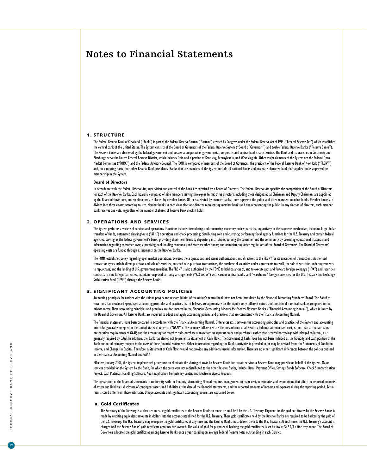# **Notes to Financial Statements**

#### 1. STRUCTURE

The Federal Reserve Bank of Cleveland ("Bank") is part of the Federal Reserve System ("System") created by Congress under the Federal Reserve Act of 1913 ("Federal Reserve Act") which established the central bank of the United States. The System consists of the Board of Governors of the Federal Reserve System ("Board of Governors") and twelve Federal Reserve Banks ("Reserve Banks"). The Reserve Banks are chartered by the federal government and possess a unique set of governmental, corporate, and central bank characteristics. The Bank and its branches in Cincinnati and Pittsburgh serve the Fourth Federal Reserve District, which includes Ohio and a portion of Kentucky, Pennsylvania, and West Virginia. Other major elements of the System are the Federal Open Market Committee ("FOMC") and the Federal Advisory Council. The FOMC is composed of members of the Board of Governors, the president of the Federal Reserve Bank of New York ("FRBNY") and, on a rotating basis, four other Reserve Bank presidents. Banks that are members of the System include all national banks and any state chartered bank that applies and is approved for membership in the System.

#### **Board of Directors**

In accordance with the Federal Reserve Act, supervision and control of the Bank are exercised by a Board of Directors. The Federal Reserve Act specifies the composition of the Board of Directors for each of the Reserve Banks. Each board is composed of nine members serving three-year terms: three directors, including those designated as Chairman and Deputy Chairman, are appointed by the Board of Governors, and six directors are elected by member banks. Of the six elected by member banks, three represent the public and three represent member banks. Member banks are divided into three classes according to size. Member banks in each class elect one director representing member banks and one representing the public. In any election of directors, each member bank receives one vote, regardless of the number of shares of Reserve Bank stock it holds.

#### 2. OPERATIONS AND SERVICES

The System performs a variety of services and operations. Functions include: formulating and conducting monetary policy; participating actively in the payments mechanism, including large-dollar transfers of funds, automated clearinghouse ("ACH") operations and check processing; distributing coin and currency; performing fiscal agency functions for the U.S. Treasury and certain federal agencies; serving as the federal government's bank; providing short-term loans to depository institutions; serving the consumer and the community by providing educational materials and information regarding consumer laws; supervising bank holding companies and state member banks; and administering other regulations of the Board of Governors. The Board of Governors' operating costs are funded through assessments on the Reserve Banks.

The FOMC establishes policy regarding open market operations, oversees these operations, and issues authorizations and directives to the FRBNY for its execution of transactions. Authorized transaction types include direct purchase and sale of securities, matched sale-purchase transactions, the purchase of securities under agreements to resell, the sale of securities under agreements to repurchase, and the lending of U.S. government securities. The FRBNY is also authorized by the FOMC to hold balances of, and to execute spot and forward foreign exchange ("F/X") and securities contracts in nine foreign currencies, maintain reciprocal currency arrangements ("F/X swaps") with various central banks, and "warehouse" foreign currencies for the U.S. Treasury and Exchange Stabilization Fund ("ESF") through the Reserve Banks.

#### 3. SIGNIFICANT ACCOUNTING POLICIES

Accounting principles for entities with the unique powers and responsibilities of the nation's central bank have not been formulated by the Financial Accounting Standards Board. The Board of Governors has developed specialized accounting principles and practices that it believes are appropriate for the significantly different nature and function of a central bank as compared to the private sector. These accounting principles and practices are documented in the *Financial Accounting Manual for Federal Reserve Banks* ("Financial Accounting Manual"), which is issued by the Board of Governors. All Reserve Banks are required to adopt and apply accounting policies and practices that are consistent with the Financial Accounting Manual.

The financial statements have been prepared in accordance with the Financial Accounting Manual. Differences exist between the accounting principles and practices of the System and accounting principles generally accepted in the United States of America ("GAAP"). The primary differences are the presentation of all security holdings at amortized cost, rather than at the fair value presentation requirements of GAAP, and the accounting for matched sale-purchase transactions as separate sales and purchases, rather than secured borrowings with pledged collateral, as is generally required by GAAP. In addition, the Bank has elected not to present a Statement of Cash Flows. The Statement of Cash Flows has not been included as the liquidity and cash position of the Bank are not of primary concern to the users of these financial statements. Other information regarding the Bank's activities is provided in, or may be derived from, the Statements of Condition, Income, and Changes in Capital. Therefore, a Statement of Cash Flows would not provide any additional useful information. There are no other significant differences between the policies outlined in the Financial Accounting Manual and GAAP.

Effective January 2001, the System implemented procedures to eliminate the sharing of costs by Reserve Banks for certain services a Reserve Bank may provide on behalf of the System. Major services provided for the System by the Bank, for which the costs were not redistributed to the other Reserve Banks, include: Retail Payment Office, Savings Bonds Software, Check Standardization Project, Cash Materials Handling Software, Audit Application Competency Center, and Electronic Access Products.

The preparation of the financial statements in conformity with the Financial Accounting Manual requires management to make certain estimates and assumptions that affect the reported amounts of assets and liabilities, disclosure of contingent assets and liabilities at the date of the financial statements, and the reported amounts of income and expenses during the reporting period. Actual results could differ from those estimates. Unique accounts and significant accounting policies are explained below.

#### a. Gold Certificates

The Secretary of the Treasury is authorized to issue gold certificates to the Reserve Banks to monetize gold held by the U.S. Treasury. Payment for the gold certificates by the Reserve Banks is made by crediting equivalent amounts in dollars into the account established for the U.S. Treasury. These gold certificates held by the Reserve Banks are required to be backed by the gold of the U.S. Treasury. The U.S. Treasury may reacquire the gold certificates at any time and the Reserve Banks must deliver them to the U.S. Treasury. At such time, the U.S. Treasury's account is charged and the Reserve Banks' gold certificate accounts are lowered. The value of gold for purposes of backing the gold certificates is set by law at \$42 2/9 a fine troy ounce. The Board of Governors allocates the gold certificates among Reserve Banks once a year based upon average Federal Reserve notes outstanding in each District.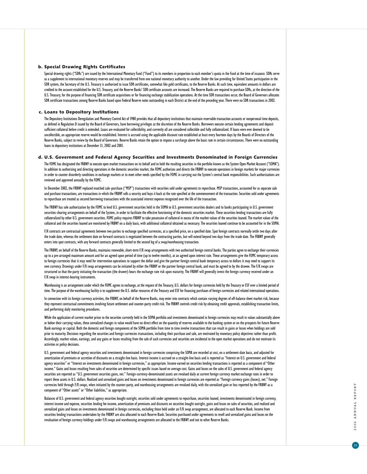#### b. Special Drawing Rights Certificates

Special drawing rights ("SDRs") are issued by the International Monetary Fund ("Fund") to its members in proportion to each member's quota in the Fund at the time of issuance. SDRs serve as a supplement to international monetary reserves and may be transferred from one national monetary authority to another. Under the law providing for United States participation in the SDR system, the Secretary of the U.S. Treasury is authorized to issue SDR certificates, somewhat like gold certificates, to the Reserve Banks. At such time, equivalent amounts in dollars are credited to the account established for the U.S. Treasury, and the Reserve Banks' SDR certificate accounts are increased. The Reserve Banks are required to purchase SDRs, at the direction of the U.S. Treasury, for the purpose of financing SDR certificate acquisitions or for financing exchange stabilization operations. At the time SDR transactions occur, the Board of Governors allocates SDR certificate transactions among Reserve Banks based upon Federal Reserve notes outstanding in each District at the end of the preceding year. There were no SDR transactions in 2002.

#### c. Loans to Depository Institutions

The Depository Institutions Deregulation and Monetary Control Act of 1980 provides that all depository institutions that maintain reservable transaction accounts or nonpersonal time deposits, as defined in Regulation D issued by the Board of Governors, have borrowing privileges at the discretion of the Reserve Banks. Borrowers execute certain lending agreements and deposit sufficient collateral before credit is extended. Loans are evaluated for collectibility, and currently all are considered collectible and fully collateralized. If loans were ever deemed to be uncollectible, an appropriate reserve would be established. Interest is accrued using the applicable discount rate established at least every fourteen days by the Boards of Directors of the Reserve Banks, subject to review by the Board of Governors. Reserve Banks retain the option to impose a surcharge above the basic rate in certain circumstances. There were no outstanding loans to depository institutions at December 31, 2002 and 2001.

#### d. U.S. Government and Federal Agency Securities and Investments Denominated in Foreign Currencies

The FOMC has designated the FRBNY to execute open market transactions on its behalf and to hold the resulting securities in the portfolio known as the System Open Market Account ("SOMA"). In addition to authorizing and directing operations in the domestic securities market, the FOMC authorizes and directs the FRBNY to execute operations in foreign markets for major currencies in order to counter disorderly conditions in exchange markets or to meet other needs specified by the FOMC in carrying out the System's central bank responsibilities. Such authorizations are reviewed and approved annually by the FOMC.

In December 2002, the FRBNY replaced matched sale-purchase ("MSP") transactions with securities sold under agreements to repurchase. MSP transactions, accounted for as separate sale and purchase transactions, are transactions in which the FRBNY sells a security and buys it back at the rate specified at the commencement of the transaction. Securities sold under agreements to repurchase are treated as secured borrowing transactions with the associated interest expense recognized over the life of the transaction.

The FRBNY has sole authorization by the FOMC to lend U.S. government securities held in the SOMA to U.S. government securities dealers and to banks participating in U.S. government securities clearing arrangements on behalf of the System, in order to facilitate the effective functioning of the domestic securities market. These securities-lending transactions are fully collateralized by other U.S. government securities. FOMC policy requires FRBNY to take possession of collateral in excess of the market values of the securities loaned. The market values of the collateral and the securities loaned are monitored by FRBNY on a daily basis, with additional collateral obtained as necessary. The securities loaned continue to be accounted for in the SOMA.

F/X contracts are contractual agreements between two parties to exchange specified currencies, at a specified price, on a specified date. Spot foreign contracts normally settle two days after the trade date, whereas the settlement date on forward contracts is negotiated between the contracting parties, but will extend beyond two days from the trade date. The FRBNY generally enters into spot contracts, with any forward contracts generally limited to the second leg of a swap/warehousing transaction.

The FRBNY, on behalf of the Reserve Banks, maintains renewable, short-term F/X swap arrangements with two authorized foreign central banks. The parties agree to exchange their currencies up to a pre-arranged maximum amount and for an agreed upon period of time (up to twelve months), at an agreed upon interest rate. These arrangements give the FOMC temporary access to foreign currencies that it may need for intervention operations to support the dollar and give the partner foreign central bank temporary access to dollars it may need to support its own currency. Drawings under F/X swap arrangements can be initiated by either the FRBNY or the partner foreign central bank, and must be agreed to by the drawee. The F/X swaps are structured so that the party initiating the transaction (the drawer) bears the exchange rate risk upon maturity. The FRBNY will generally invest the foreign currency received under an F/X swap in interest-bearing instruments.

Warehousing is an arrangement under which the FOMC agrees to exchange, at the request of the Treasury, U.S. dollars for foreign currencies held by the Treasury or ESF over a limited period of time. The purpose of the warehousing facility is to supplement the U.S. dollar resources of the Treasury and ESF for financing purchases of foreign currencies and related international operations.

In connection with its foreign currency activities, the FRBNY, on behalf of the Reserve Banks, may enter into contracts which contain varying degrees of off-balance sheet market risk, because they represent contractual commitments involving future settlement and counter-party credit risk. The FRBNY controls credit risk by obtaining credit approvals, establishing transaction limits, and performing daily monitoring procedures.

While the application of current market prices to the securities currently held in the SOMA portfolio and investments denominated in foreign currencies may result in values substantially above or below their carrying values, these unrealized changes in value would have no direct effect on the quantity of reserves available to the banking system or on the prospects for future Reserve Bank earnings or capital. Both the domestic and foreign components of the SOMA portfolio from time to time involve transactions that can result in gains or losses when holdings are sold prior to maturity. Decisions regarding the securities and foreign currencies transactions, including their purchase and sale, are motivated by monetary policy objectives rather than profit. Accordingly, market values, earnings, and any gains or losses resulting from the sale of such currencies and securities are incidental to the open market operations and do not motivate its activities or policy decisions.

U.S. government and federal agency securities and investments denominated in foreign currencies comprising the SOMA are recorded at cost, on a settlement-date basis, and adjusted for amortization of premiums or accretion of discounts on a straight-line basis. Interest income is accrued on a straight-line basis and is reported as "Interest on U.S. government and federal agency securities" or "Interest on investments denominated in foreign currencies," as appropriate. Income earned on securities lending transactions is reported as a component of "Other income." Gains and losses resulting from sales of securities are determined by specific issues based on average cost. Gains and losses on the sales of U.S. government and federal agency securities are reported as "U.S. government securities gains, net." Foreign-currency-denominated assets are revalued daily at current foreign currency market exchange rates in order to report these assets in U.S. dollars. Realized and unrealized gains and losses on investments denominated in foreign currencies are reported as "Foreign currency gains (losses), net." Foreign currencies held through F/X swaps, when initiated by the counter-party, and warehousing arrangements are revalued daily, with the unrealized gain or loss reported by the FRBNY as a component of "Other assets" or "Other liabilities," as appropriate.

Balances of U.S. government and federal agency securities bought outright, securities sold under agreements to repurchase, securities loaned, investments denominated in foreign currency, interest income and expense, securities lending fee income, amortization of premiums and discounts on securities bought outright, gains and losses on sales of securities, and realized and unrealized gains and losses on investments denominated in foreign currencies, excluding those held under an F/X swap arrangement, are allocated to each Reserve Bank. Income from securities lending transactions undertaken by the FRBNY are also allocated to each Reserve Bank. Securities purchased under agreements to resell and unrealized gains and losses on the revaluation of foreign currency holdings under F/X swaps and warehousing arrangements are allocated to the FRBNY and not to other Reserve Banks.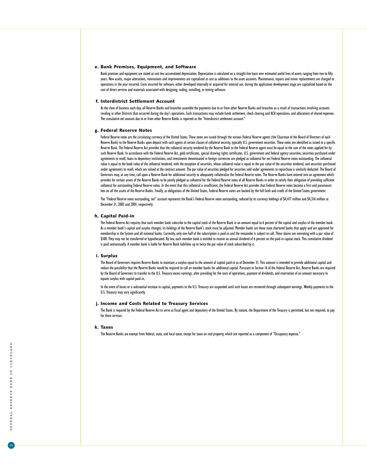#### e. Bank Premises, Equipment, and Software

Bank premises and equipment are stated at cost less accumulated depreciation. Depreciation is calculated on a straight-line basis over estimated useful lives of assets ranging from two to fifty years. New assets, major alterations, renovations and improvements are capitalized at cost as additions to the asset accounts. Maintenance, repairs and minor replacements are charged to operations in the year incurred. Costs incurred for software, either developed internally or acquired for internal use, during the application development stage are capitalized based on the cost of direct services and materials associated with designing, coding, installing, or testing software.

#### f. Interdistrict Settlement Account

At the close of business each day, all Reserve Banks and branches assemble the payments due to or from other Reserve Banks and branches as a result of transactions involving accounts residing in other Districts that occurred during the day's operations. Such transactions may include funds settlement, check clearing and ACH operations, and allocations of shared expenses. The cumulative net amount due to or from other Reserve Banks is reported as the "Interdistrict settlement account."

### g. Federal Reserve Notes

Federal Reserve notes are the circulating currency of the United States. These notes are issued through the various Federal Reserve agents (the Chairman of the Board of Directors of each Reserve Bank) to the Reserve Banks upon deposit with such agents of certain classes of collateral security, typically U.S. government securities. These notes are identified as issued to a specific Reserve Bank. The Federal Reserve Act provides that the collateral security tendered by the Reserve Bank to the Federal Reserve agent must be equal to the sum of the notes applied for by such Reserve Bank. In accordance with the Federal Reserve Act, gold certificates, special drawing rights certificates, U.S. government and federal agency securities, securities purchased under agreements to resell, loans to depository institutions, and investments denominated in foreign currencies are pledged as collateral for net Federal Reserve notes outstanding. The collateral value is equal to the book value of the collateral tendered, with the exception of securities, whose collateral value is equal to the par value of the securities tendered, and securities purchased under agreements to resell, which are valued at the contract amount. The par value of securities pledged for securities sold under agreements to repurchase is similarly deducted. The Board of Governors may, at any time, call upon a Reserve Bank for additional security to adequately collateralize the Federal Reserve notes. The Reserve Banks have entered into an agreement which provides for certain assets of the Reserve Banks to be jointly pledged as collateral for the Federal Reserve notes of all Reserve Banks in order to satisfy their obligation of providing sufficient collateral for outstanding Federal Reserve notes. In the event that this collateral is insufficient, the Federal Reserve Act provides that Federal Reserve notes become a first and paramount lien on all the assets of the Reserve Banks. Finally, as obligations of the United States, Federal Reserve notes are backed by the full faith and credit of the United States government.

The "Federal Reserve notes outstanding, net" account represents the Bank's Federal Reserve notes outstanding, reduced by its currency holdings of \$4,417 million and \$4,316 million at December 31, 2002 and 2001, respectively.

#### h. Capital Paid-in

The Federal Reserve Act requires that each member bank subscribe to the capital stock of the Reserve Bank in an amount equal to 6 percent of the capital and surplus of the member bank. As a member bank's capital and surplus changes, its holdings of the Reserve Bank's stock must be adjusted. Member banks are those state chartered banks that apply and are approved for membership in the System and all national banks. Currently, only one-half of the subscription is paid-in and the remainder is subject to call. These shares are nonvoting with a par value of \$100. They may not be transferred or hypothecated. By law, each member bank is entitled to receive an annual dividend of 6 percent on the paid-in capital stock. This cumulative dividend is paid semiannually. A member bank is liable for Reserve Bank liabilities up to twice the par value of stock subscribed by it.

### i. Surplus

The Board of Governors requires Reserve Banks to maintain a surplus equal to the amount of capital paid-in as of December 31. This amount is intended to provide additional capital and reduce the possibility that the Reserve Banks would be required to call on member banks for additional capital. Pursuant to Section 16 of the Federal Reserve Act, Reserve Banks are required by the Board of Governors to transfer to the U.S. Treasury excess earnings, after providing for the costs of operations, payment of dividends, and reservation of an amount necessary to equate surplus with capital paid-in.

In the event of losses or a substantial increase in capital, payments to the U.S. Treasury are suspended until such losses are recovered through subsequent earnings. Weekly payments to the U.S. Treasury may vary significantly.

#### j. Income and Costs Related to Treasury Services

The Bank is required by the Federal Reserve Act to serve as fiscal agent and depository of the United States. By statute, the Department of the Treasury is permitted, but not required, to pay for these services.

#### k. Taxes

The Reserve Banks are exempt from federal, state, and local taxes, except for taxes on real property, which are reported as a component of "Occupancy expense."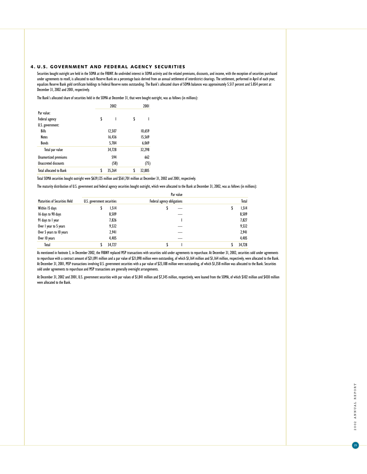# 4. U.S. GOVERNMENT AND FEDERAL AGENCY SECURITIES

Securities bought outright are held in the SOMA at the FRBNY. An undivided interest in SOMA activity and the related premiums, discounts, and income, with the exception of securities purchased under agreements to resell, is allocated to each Reserve Bank on a percentage basis derived from an annual settlement of interdistrict clearings. The settlement, performed in April of each year, equalizes Reserve Bank gold certificate holdings to Federal Reserve notes outstanding. The Bank's allocated share of SOMA balances was approximately 5.517 percent and 5.854 percent at December 31, 2002 and 2001, respectively.

The Bank's allocated share of securities held in the SOMA at December 31, that were bought outright, was as follows (in millions):

|                                | 2002         |    | 2001   |
|--------------------------------|--------------|----|--------|
| Par value:                     |              |    |        |
| Federal agency                 | \$<br>ı      | \$ |        |
| U.S. government:               |              |    |        |
| <b>Bills</b>                   | 12,507       |    | 10,659 |
| <b>Notes</b>                   | 16,436       |    | 15,569 |
| <b>Bonds</b>                   | 5,784        |    | 6,069  |
| Total par value                | 34,728       |    | 32,298 |
| <b>Unamortized premiums</b>    | 594          |    | 662    |
| <b>Unaccreted discounts</b>    | (58)         |    | (75)   |
| <b>Total allocated to Bank</b> | \$<br>35,264 | S  | 32,885 |

Total SOMA securities bought outright were \$639,125 million and \$561,701 million at December 31, 2002 and 2001, respectively.

The maturity distribution of U.S. government and federal agency securities bought outright, which were allocated to the Bank at December 31, 2002, was as follows (in millions):

Par value

|                                      |                            | <b>TAI VAIUE</b>           |        |
|--------------------------------------|----------------------------|----------------------------|--------|
| <b>Maturities of Securities Held</b> | U.S. government securities | Federal agency obligations | Total  |
| Within 15 days                       | 1,514<br>P                 |                            | 1,514  |
| 16 days to 90 days                   | 8,509                      |                            | 8,509  |
| 91 days to 1 year                    | 7,826                      |                            | 7,827  |
| Over I year to 5 years               | 9,532                      |                            | 9,532  |
| Over 5 years to 10 years             | 2,941                      |                            | 2,941  |
| Over 10 years                        | 4,405                      |                            | 4,405  |
| Total                                | 34,727                     |                            | 34,728 |
|                                      |                            |                            |        |

As mentioned in footnote 3, in December 2002, the FRBNY replaced MSP transactions with securities sold under agreements to repurchase. At December 31, 2002, securities sold under agreements to repurchase with a contract amount of \$21,091 million and a par value of \$21,098 million were outstanding, of which \$1,164 million and \$1,164 million, respectively, were allocated to the Bank. At December 31, 2001, MSP transactions involving U.S. government securities with a par value of \$23,188 million were outstanding, of which \$1,358 million was allocated to the Bank. Securities sold under agreements to repurchase and MSP transactions are generally overnight arrangements.

At December 31, 2002 and 2001, U.S. government securities with par values of \$1,841 million and \$7,345 million, respectively, were loaned from the SOMA, of which \$102 million and \$430 million were allocated to the Bank.

 $\boxed{25}$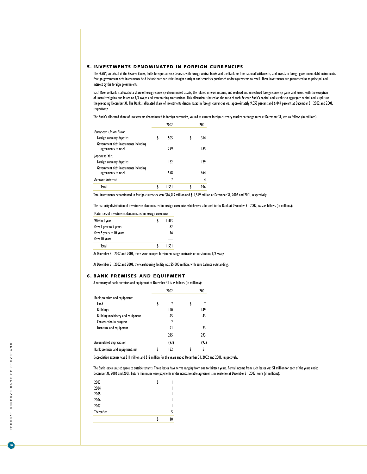# 5. INVESTMENTS DENOMINATED IN FOREIGN CURRENCIES

The FRBNY, on behalf of the Reserve Banks, holds foreign currency deposits with foreign central banks and the Bank for International Settlements, and invests in foreign government debt instruments. Foreign government debt instruments held include both securities bought outright and securities purchased under agreements to resell. These investments are guaranteed as to principal and interest by the foreign governments.

Each Reserve Bank is allocated a share of foreign-currency-denominated assets, the related interest income, and realized and unrealized foreign currency gains and losses, with the exception of unrealized gains and losses on F/X swaps and warehousing transactions. This allocation is based on the ratio of each Reserve Bank's capital and surplus to aggregate capital and surplus at the preceding December 31. The Bank's allocated share of investments denominated in foreign currencies was approximately 9.053 percent and 6.844 percent at December 31, 2002 and 2001, respectively.

The Bank's allocated share of investments denominated in foreign currencies, valued at current foreign currency market exchange rates at December 31, was as follows (in millions):

|                                                               | 2002  |   | 2001 |
|---------------------------------------------------------------|-------|---|------|
| European Union Euro:                                          |       |   |      |
| Foreign currency deposits                                     | 505   | ٢ | 314  |
| Government debt instruments including<br>agreements to resell | 299   |   | 185  |
| Japanese Yen:                                                 |       |   |      |
| Foreign currency deposits                                     | 162   |   | 129  |
| Government debt instruments including<br>agreements to resell | 558   |   | 364  |
| <b>Accrued interest</b>                                       | 7     |   | 4    |
| Total                                                         | 1.531 |   | 996  |

Total investments denominated in foreign currencies were \$16,913 million and \$14,559 million at December 31, 2002 and 2001, respectively.

The maturity distribution of investments denominated in foreign currencies which were allocated to the Bank at December 31, 2002, was as follows (in millions):

| Maturities of investments denominated in foreign currencies |       |
|-------------------------------------------------------------|-------|
| Within I year                                               | I.413 |
| Over I year to 5 years                                      | 87    |
| Over 5 years to 10 years                                    | 36    |
| Over 10 years                                               |       |
| Total                                                       | 1.531 |

At December 31, 2002 and 2001, there were no open foreign exchange contracts or outstanding F/X swaps.

At December 31, 2002 and 2001, the warehousing facility was \$5,000 million, with zero balance outstanding.

#### 6. BANK PREMISES AND EQUIPMENT

|  | A summary of bank premises and equipment at December 31 is as follows (in millions): |  |  |
|--|--------------------------------------------------------------------------------------|--|--|
|  |                                                                                      |  |  |

|                                  | 2002 | 2001 |
|----------------------------------|------|------|
| Bank premises and equipment:     |      |      |
| Land                             |      |      |
| <b>Buildings</b>                 | 150  | 149  |
| Building machinery and equipment | 45   | 43   |
| Construction in progress         | 7    |      |
| Furniture and equipment          | 71   | 73   |
|                                  | 275  | 273  |
| Accumulated depreciation         | (93) | (92) |
| Bank premises and equipment, net | 182  | 181  |

Depreciation expense was \$11 million and \$12 million for the years ended December 31, 2002 and 2001, respectively.

The Bank leases unused space to outside tenants. Those leases have terms ranging from one to thirteen years. Rental income from such leases was \$1 million for each of the years ended December 31, 2002 and 2001. Future minimum lease payments under noncancelable agreements in existence at December 31, 2002, were (in millions):

| 2003              |    |
|-------------------|----|
| 2004              |    |
| 2005              |    |
| 2006              |    |
| 2007              |    |
| <b>Thereafter</b> | 5  |
|                   | 10 |

 $\boxed{26}$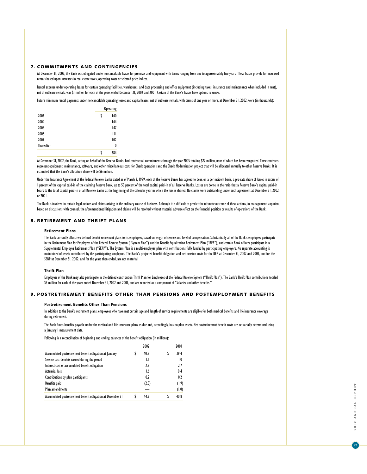### 7. COMMITMENTS AND CONTINGENCIES

At December 31, 2002, the Bank was obligated under noncancelable leases for premises and equipment with terms ranging from one to approximately five years. These leases provide for increased rentals based upon increases in real estate taxes, operating costs or selected price indices.

Rental expense under operating leases for certain operating facilities, warehouses, and data processing and office equipment (including taxes, insurance and maintenance when included in rent), net of sublease rentals, was \$1 million for each of the years ended December 31, 2002 and 2001. Certain of the Bank's leases have options to renew.

Future minimum rental payments under noncancelable operating leases and capital leases, net of sublease rentals, with terms of one year or more, at December 31, 2002, were (in thousands):

|                   | <b>Operating</b> |  |
|-------------------|------------------|--|
| 2003              | \$<br>140        |  |
| 2004              | 144              |  |
| 2005              | 147              |  |
| 2006              | 5                |  |
| 2007              | 102              |  |
| <b>Thereafter</b> | 0                |  |
|                   | \$<br>684        |  |

At December 31, 2002, the Bank, acting on behalf of the Reserve Banks, had contractual commitments through the year 2005 totaling \$27 million, none of which has been recognized. These contracts represent equipment, maintenance, software, and other miscellaneous costs for Check operations and the Check Modernization project that will be allocated annually to other Reserve Banks. It is estimated that the Bank's allocation share will be \$6 million.

Under the Insurance Agreement of the Federal Reserve Banks dated as of March 2, 1999, each of the Reserve Banks has agreed to bear, on a per incident basis, a pro rata share of losses in excess of I percent of the capital paid-in of the claiming Reserve Bank, up to 50 percent of the total capital paid-in of all Reserve Banks. Losses are borne in the ratio that a Reserve Bank's capital paid-in bears to the total capital paid-in of all Reserve Banks at the beginning of the calendar year in which the loss is shared. No claims were outstanding under such agreement at December 31, 2002 or 2001.

The Bank is involved in certain legal actions and claims arising in the ordinary course of business. Although it is difficult to predict the ultimate outcome of these actions, in management's opinion, based on discussions with counsel, the aforementioned litigation and claims will be resolved without material adverse effect on the financial position or results of operations of the Bank.

# 8. RETIREMENT AND THRIFT PLANS

#### **Retirement Plans**

The Bank currently offers two defined benefit retirement plans to its employees, based on length of service and level of compensation. Substantially all of the Bank's employees participate in the Retirement Plan for Employees of the Federal Reserve System ("System Plan") and the Benefit Equalization Retirement Plan ("BEP"), and certain Bank officers participate in a Supplemental Employee Retirement Plan ("SERP"). The System Plan is a multi-employer plan with contributions fully funded by participating employers. No separate accounting is maintained of assets contributed by the participating employers. The Bank's projected benefit obligation and net pension costs for the BEP at December 31, 2002 and 2001, and for the SERP at December 31, 2002, and for the years then ended, are not material.

### **Thrift Plan**

Employees of the Bank may also participate in the defined contribution Thrift Plan for Employees of the Federal Reserve System ("Thrift Plan"). The Bank's Thrift Plan contributions totaled \$3 million for each of the years ended December 31, 2002 and 2001, and are reported as a component of "Salaries and other benefits."

### 9. POSTRETIREMENT BENEFITS OTHER THAN PENSIONS AND POSTEMPLOYMENT BENEFITS

#### **Postretirement Benefits Other Than Pensions**

In addition to the Bank's retirement plans, employees who have met certain age and length of service requirements are eligible for both medical benefits and life insurance coverage during retirement.

The Bank funds benefits payable under the medical and life insurance plans as due and, accordingly, has no plan assets. Net postretirement benefit costs are actuarially determined using a January I measurement date.

Following is a reconciliation of beginning and ending balances of the benefit obligation (in millions):

|                                                              |  | 2002  |   | 2001  |  |
|--------------------------------------------------------------|--|-------|---|-------|--|
| Accumulated postretirement benefit obligation at January I   |  | 40.8  | S | 39.4  |  |
| Service cost-benefits earned during the period               |  | IJ    |   | 1.0   |  |
| Interest cost of accumulated benefit obligation              |  | 2.8   |   | 2.7   |  |
| <b>Actuarial loss</b>                                        |  | 1.6   |   | 0.4   |  |
| Contributions by plan participants                           |  | 0.2   |   | 0.2   |  |
| <b>Benefits</b> paid                                         |  | (2.0) |   | (1.9) |  |
| Plan amendments                                              |  |       |   | (1.0) |  |
| Accumulated postretirement benefit obligation at December 31 |  | 44.5  | S | 40.8  |  |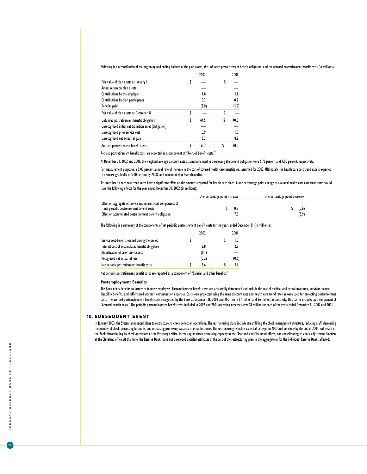Following is a reconciliation of the beginning and ending balance of the plan assets, the unfunded postretirement benefit obligation, and the accrued postretirement benefit costs (in millions):

|                                                        | 2002       | 2001       |
|--------------------------------------------------------|------------|------------|
| Fair value of plan assets at January I                 | \$         | \$         |
| Actual return on plan assets                           |            |            |
| Contributions by the employer                          | 1.8        | 1.7        |
| Contributions by plan participants                     | 0.2        | 0.2        |
| Benefits paid                                          | (2.0)      | (1.9)      |
| Fair value of plan assets at December 31               | \$         | \$         |
| Unfunded postretirement benefit obligation             | \$<br>44.5 | \$<br>40.8 |
| Unrecognized initial net transition asset (obligation) |            |            |
| Unrecognized prior service cost                        | 0.9        | 1.0        |
| Unrecognized net actuarial gain                        | 6.3        | 8.2        |
| Accrued postretirement benefit costs                   | 51.7       | 50.0       |

Accrued postretirement benefit costs are reported as a component of "Accrued benefit costs."

At December 31, 2002 and 2001, the weighted average discount rate assumptions used in developing the benefit obligation were 6.75 percent and 7.00 percent, respectively.

For measurement purposes, a 9.00 percent annual rate of increase in the cost of covered health care benefits was assumed for 2003. Ultimately, the health care cost trend rate is expected to decrease gradually to 5.00 percent by 2008, and remain at that level thereafter.

Assumed health care cost trend rates have a significant effect on the amounts reported for health care plans. A one percentage point change in assumed health care cost trend rates would have the following effects for the year ended December 31, 2002 (in millions):

|                                                                                                             | One percentage point increase |     | One percentage point decrease |  |  |
|-------------------------------------------------------------------------------------------------------------|-------------------------------|-----|-------------------------------|--|--|
| Effect on aggregate of service and interest cost components of<br>net periodic postretirement benefit costs |                               | 0.8 | (0.6)                         |  |  |
| Effect on accumulated postretirement benefit obligation                                                     |                               |     | (5.9)                         |  |  |

The following is a summary of the components of net periodic postretirement benefit costs for the years ended December 31 (in millions):

|                                                 | 2002  | 2001  |
|-------------------------------------------------|-------|-------|
| Service cost-benefits earned during the period  | IJ    | 1.0   |
| Interest cost of accumulated benefit obligation | 2.8   | 2.7   |
| Amortization of prior service cost              | (0.1) |       |
| Recognized net actuarial loss                   | (0.2) | (0.6) |
| Net periodic postretirement benefit costs       | 36    | 31    |

Net periodic postretirement benefit costs are reported as a component of "Salaries and other benefits."

#### **Postemployment Benefits**

The Bank offers benefits to former or inactive employees. Postemployment benefit costs are actuarially determined and include the cost of medical and dental insurance, survivor income, disability benefits, and self-insured workers' compensation expenses. Costs were projected using the same discount rate and health care trend rates as were used for projecting postretirement costs. The accrued postemployment benefit costs recognized by the Bank at December 31, 2002 and 2001, were \$7 million and \$6 million, respectively. This cost is included as a component of "Accrued benefit costs." Net periodic postemployment benefit costs included in 2002 and 2001 operating expenses were \$1 million for each of the years ended December 31, 2002 and 2001.

#### 10. SUBSEQUENT EVENT

In January 2003, the System announced plans to restructure its check collection operations. The restructuring plans include streamlining the check management structure, reducing staff, decreasing the number of check-processing locations, and increasing processing capacity in other locations. The restructuring, which is expected to begin in 2003 and conclude by the end of 2004, will result in the Bank discontinuing its check operations at the Pittsburgh office, increasing its check processing capacity at the Cleveland and Cincinnati offices, and consolidating its check adjustment function at the Cleveland office. At this time, the Reserve Banks have not developed detailed estimates of the cost of the restructuring plan in the aggregate or for the individual Reserve Banks affected.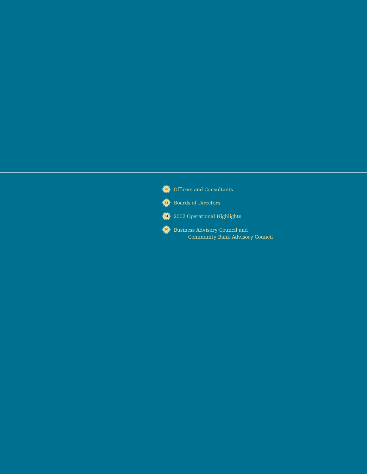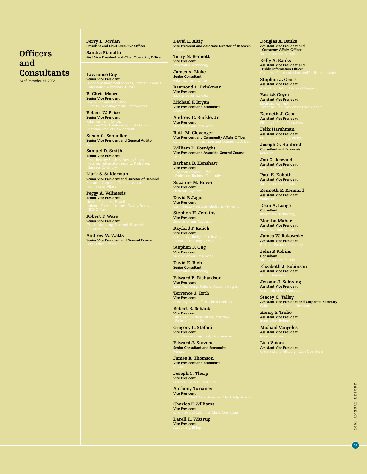# **Officers and Consultants**

As of December 31, 2002

**Jerry L. Jordan President and Chief Executive Officer Sandra Pianalto**

**First Vice President and Chief Operating Officer**

**Lawrence Cuy Senior Vice President**

**R. Chris Moore Senior Vice President**

**Robert W. Price Senior Vice President**

**Susan G. Schueller Senior Vice President and General Auditor**

**Samuel D. Smith Senior Vice President**

**Mark S. Sniderman Senior Vice President and Director of Research**

**Peggy A. Velimesis Senior Vice President**

**Robert F. Ware Senior Vice President**

**Andrew W. Watts Senior Vice President and General Counsel** **David E. Altig Vice President and Associate Director of Research**

**Terry N. Bennett Vice President**

**James A. Blake Senior Consultant**

**Raymond L. Brinkman Vice President**

**Michael F. Bryan Vice President and Economist**

**Andrew C. Burkle, Jr. Vice President**

**Ruth M. Clevenger Vice President and Community Affairs Officer**

**William D. Fosnight Vice President and Associate General Counsel**

**Barbara B. Henshaw Vice President**

**Suzanne M. Howe**

**Vice President**

**David P. Jager Vice President**

**Stephen H. Jenkins Vice President**

**Rayford P. Kalich Vice President**

**Stephen J. Ong Vice President**

**David E. Rich Senior Consultant**

**Edward E. Richardson Vice President**

**Terrence J. Roth Vice President**

**Robert B. Schaub Vice President**

**Gregory L. Stefani Vice President**

**Edward J. Stevens Senior Consultant and Economist**

**James B. Thomson Vice President and Economist**

**Joseph C. Thorp Vice President**

**Anthony Turcinov Vice President**

**Charles F. Williams Vice President**

**Darell R. Wittrup Vice President**

**Douglas A. Banks Assistant Vice President and Consumer Affairs Officer**

**Kelly A. Banks Assistant Vice President and Public Information Officer**

**Stephen J. Geers Assistant Vice President**

**Patrick Geyer Assistant Vice President**

**Kenneth J. Good Assistant Vice President**

**Felix Harshman Assistant Vice President**

**Joseph G. Haubrich Consultant and Economist**

**Jon C. Jeswald Assistant Vice President**

**Paul E. Kaboth Assistant Vice President**

**Kenneth E. Kennard Assistant Vice President**

**Dean A. Longo Consultant**

**Martha Maher Assistant Vice President**

**James W. Rakowsky Assistant Vice President**

**John P. Robins Consultant**

**Elizabeth J. Robinson Assistant Vice President**

**Jerome J. Schwing Assistant Vice President**

**Stacey C. Talley Assistant Vice President and Corporate Secretary**

**Henry P. Trolio Assistant Vice President**

**Michael Vangelos Assistant Vice President**

**Lisa Vidacs Assistant Vice President**

> 2002 ANNUAL REPORT 2002 ANNUAL REPORT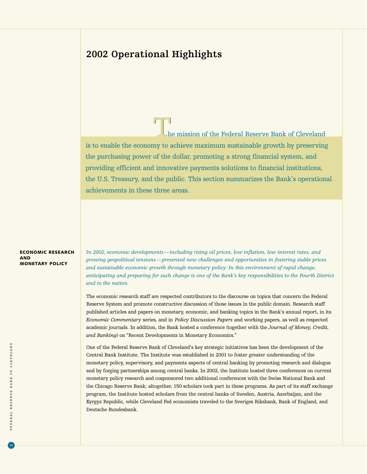# **2002 Operational Highlights**

 $\int_{h}$ he mission of the Federal Reserve Bank of Cleveland is to enable the economy to achieve maximum sustainable growth by preserving the purchasing power of the dollar, promoting a strong financial system, and providing efficient and innovative payments solutions to financial institutions, the U.S. Treasury, and the public. This section summarizes the Bank's operational achievements in these three areas.

### ECONOMIC RESEARCH AND MONETARY POLICY

*In 2002, economic developments—including rising oil prices, low inflation, low interest rates, and growing geopolitical tensions—presented new challenges and opportunities in fostering stable prices and sustainable economic growth through monetary policy. In this environment of rapid change, anticipating and preparing for such change is one of the Bank's key responsibilities to the Fourth District and to the nation.*

The economic research staff are respected contributors to the discourse on topics that concern the Federal Reserve System and promote constructive discussion of those issues in the public domain. Research staff published articles and papers on monetary, economic, and banking topics in the Bank's annual report, in its *Economic Commentary* series, and in *Policy Discussion Papers* and working papers, as well as respected academic journals. In addition, the Bank hosted a conference (together with the *Journal of Money, Credit, and Banking*) on "Recent Developments in Monetary Economics."

One of the Federal Reserve Bank of Cleveland's key strategic initiatives has been the development of the Central Bank Institute. The Institute was established in 2001 to foster greater understanding of the monetary policy, supervisory, and payments aspects of central banking by promoting research and dialogue and by forging partnerships among central banks. In 2002, the Institute hosted three conferences on current monetary policy research and cosponsored two additional conferences with the Swiss National Bank and the Chicago Reserve Bank; altogether, 150 scholars took part in these programs. As part of its staff exchange program, the Institute hosted scholars from the central banks of Sweden, Austria, Azerbaijan, and the Kyrgyz Republic, while Cleveland Fed economists traveled to the Sveriges Riksbank, Bank of England, and Deutsche Bundesbank.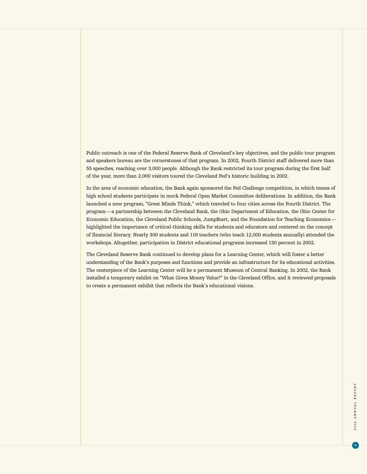Public outreach is one of the Federal Reserve Bank of Cleveland's key objectives, and the public tour program and speakers bureau are the cornerstones of that program. In 2002, Fourth District staff delivered more than 55 speeches, reaching over 3,000 people. Although the Bank restricted its tour program during the first half of the year, more than 2,000 visitors toured the Cleveland Fed's historic building in 2002.

In the area of economic education, the Bank again sponsored the Fed Challenge competition, in which teams of high school students participate in mock Federal Open Market Committee deliberations. In addition, the Bank launched a new program, "Great Minds Think," which traveled to four cities across the Fourth District. The program—a partnership between the Cleveland Bank, the Ohio Department of Education, the Ohio Center for Economic Education, the Cleveland Public Schools, Jump\$tart, and the Foundation for Teaching Economics highlighted the importance of critical-thinking skills for students and educators and centered on the concept of financial literacy. Nearly 300 students and 118 teachers (who teach 12,000 students annually) attended the workshops. Altogether, participation in District educational programs increased 130 percent in 2002.

The Cleveland Reserve Bank continued to develop plans for a Learning Center, which will foster a better understanding of the Bank's purposes and functions and provide an infrastructure for its educational activities. The centerpiece of the Learning Center will be a permanent Museum of Central Banking. In 2002, the Bank installed a temporary exhibit on "What Gives Money Value?" in the Cleveland Office, and it reviewed proposals to create a permanent exhibit that reflects the Bank's educational visions.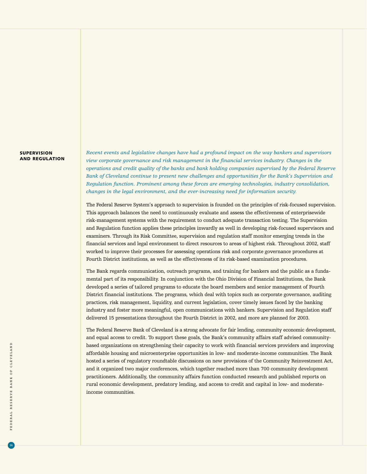### SUPERVISION AND REGULATION

*Recent events and legislative changes have had a profound impact on the way bankers and supervisors view corporate governance and risk management in the financial services industry. Changes in the operations and credit quality of the banks and bank holding companies supervised by the Federal Reserve Bank of Cleveland continue to present new challenges and opportunities for the Bank's Supervision and Regulation function. Prominent among these forces are emerging technologies, industry consolidation, changes in the legal environment, and the ever-increasing need for information security.*

The Federal Reserve System's approach to supervision is founded on the principles of risk-focused supervision. This approach balances the need to continuously evaluate and assess the effectiveness of enterprisewide risk-management systems with the requirement to conduct adequate transaction testing. The Supervision and Regulation function applies these principles inwardly as well in developing risk-focused supervisors and examiners. Through its Risk Committee, supervision and regulation staff monitor emerging trends in the financial services and legal environment to direct resources to areas of highest risk. Throughout 2002, staff worked to improve their processes for assessing operations risk and corporate governance procedures at Fourth District institutions, as well as the effectiveness of its risk-based examination procedures.

The Bank regards communication, outreach programs, and training for bankers and the public as a fundamental part of its responsibility. In conjunction with the Ohio Division of Financial Institutions, the Bank developed a series of tailored programs to educate the board members and senior management of Fourth District financial institutions. The programs, which deal with topics such as corporate governance, auditing practices, risk management, liquidity, and current legislation, cover timely issues faced by the banking industry and foster more meaningful, open communications with bankers. Supervision and Regulation staff delivered 15 presentations throughout the Fourth District in 2002, and more are planned for 2003.

The Federal Reserve Bank of Cleveland is a strong advocate for fair lending, community economic development, and equal access to credit. To support these goals, the Bank's community affairs staff advised communitybased organizations on strengthening their capacity to work with financial services providers and improving affordable housing and microenterprise opportunities in low- and moderate-income communities. The Bank hosted a series of regulatory roundtable discussions on new provisions of the Community Reinvestment Act, and it organized two major conferences, which together reached more than 700 community development practitioners. Additionally, the community affairs function conducted research and published reports on rural economic development, predatory lending, and access to credit and capital in low- and moderateincome communities.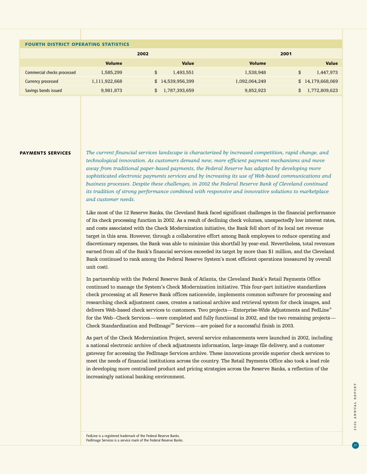| <b>FOURTH DISTRICT OPERATING STATISTICS</b> |                  |               |                  |  |  |  |
|---------------------------------------------|------------------|---------------|------------------|--|--|--|
|                                             | 2002             | 2001          |                  |  |  |  |
| <b>Volume</b>                               | <b>Value</b>     | <b>Volume</b> | Value            |  |  |  |
| 1,585,299                                   | \$<br>1,493,551  | 1,538,948     | \$<br>1,447,973  |  |  |  |
| 1,111,922,668                               | \$14,539,956,399 | 1,092,064,249 | \$14,179,668,069 |  |  |  |
| 9,981,873                                   | 1,787,393,659    | 9,852,923     | 1,772,809,623    |  |  |  |
|                                             |                  |               |                  |  |  |  |

#### PAYMENTS SERVICES

*The current financial services landscape is characterized by increased competition, rapid change, and technological innovation. As customers demand new, more efficient payment mechanisms and move away from traditional paper-based payments, the Federal Reserve has adapted by developing more sophisticated electronic payments services and by increasing its use of Web-based communications and business processes. Despite these challenges, in 2002 the Federal Reserve Bank of Cleveland continued its tradition of strong performance combined with responsive and innovative solutions to marketplace and customer needs.*

Like most of the 12 Reserve Banks, the Cleveland Bank faced significant challenges in the financial performance of its check processing function in 2002. As a result of declining check volumes, unexpectedly low interest rates, and costs associated with the Check Modernization initiative, the Bank fell short of its local net revenue target in this area. However, through a collaborative effort among Bank employees to reduce operating and discretionary expenses, the Bank was able to minimize this shortfall by year-end. Nevertheless, total revenues earned from all of the Bank's financial services exceeded its target by more than \$1 million, and the Cleveland Bank continued to rank among the Federal Reserve System's most efficient operations (measured by overall unit cost).

In partnership with the Federal Reserve Bank of Atlanta, the Cleveland Bank's Retail Payments Office continued to manage the System's Check Modernization initiative. This four-part initiative standardizes check processing at all Reserve Bank offices nationwide, implements common software for processing and researching check adjustment cases, creates a national archive and retrieval system for check images, and delivers Web-based check services to customers. Two projects—Enterprise-Wide Adjustments and FedLine® for the Web–Check Services—were completed and fully functional in 2002, and the two remaining projects— Check Standardization and FedImage<sup>SM</sup> Services—are poised for a successful finish in 2003.

As part of the Check Modernization Project, several service enhancements were launched in 2002, including a national electronic archive of check adjustments information, large-image file delivery, and a customer gateway for accessing the FedImage Services archive. These innovations provide superior check services to meet the needs of financial institutions across the country. The Retail Payments Office also took a lead role in developing more centralized product and pricing strategies across the Reserve Banks, a reflection of the increasingly national banking environment.

FedLine is a registered trademark of the Federal Reserve Banks. FedImage Services is a service mark of the Federal Reserve Banks.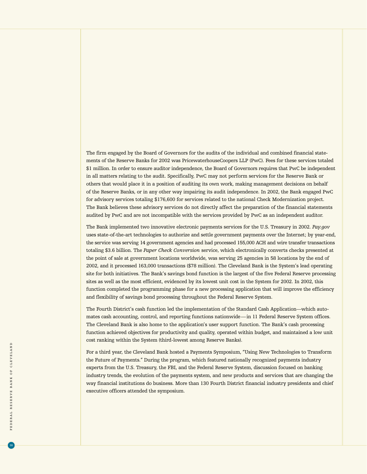The firm engaged by the Board of Governors for the audits of the individual and combined financial statements of the Reserve Banks for 2002 was PricewaterhouseCoopers LLP (PwC). Fees for these services totaled \$1 million. In order to ensure auditor independence, the Board of Governors requires that PwC be independent in all matters relating to the audit. Specifically, PwC may not perform services for the Reserve Bank or others that would place it in a position of auditing its own work, making management decisions on behalf of the Reserve Banks, or in any other way impairing its audit independence. In 2002, the Bank engaged PwC for advisory services totaling \$176,600 for services related to the national Check Modernization project. The Bank believes these advisory services do not directly affect the preparation of the financial statements audited by PwC and are not incompatible with the services provided by PwC as an independent auditor.

The Bank implemented two innovative electronic payments services for the U.S. Treasury in 2002. *Pay.gov* uses state-of-the-art technologies to authorize and settle government payments over the Internet; by year-end, the service was serving 14 government agencies and had processed 155,000 ACH and wire transfer transactions totaling \$3.6 billion. The *Paper Check Conversion* service, which electronically converts checks presented at the point of sale at government locations worldwide, was serving 25 agencies in 58 locations by the end of 2002, and it processed 163,000 transactions (\$78 million). The Cleveland Bank is the System's lead operating site for both initiatives. The Bank's savings bond function is the largest of the five Federal Reserve processing sites as well as the most efficient, evidenced by its lowest unit cost in the System for 2002. In 2002, this function completed the programming phase for a new processing application that will improve the efficiency and flexibility of savings bond processing throughout the Federal Reserve System.

The Fourth District's cash function led the implementation of the Standard Cash Application—which automates cash accounting, control, and reporting functions nationwide—in 11 Federal Reserve System offices. The Cleveland Bank is also home to the application's user support function. The Bank's cash processing function achieved objectives for productivity and quality, operated within budget, and maintained a low unit cost ranking within the System (third-lowest among Reserve Banks).

For a third year, the Cleveland Bank hosted a Payments Symposium, "Using New Technologies to Transform the Future of Payments." During the program, which featured nationally recognized payments industry experts from the U.S. Treasury, the FBI, and the Federal Reserve System, discussion focused on banking industry trends, the evolution of the payments system, and new products and services that are changing the way financial institutions do business. More than 130 Fourth District financial industry presidents and chief executive officers attended the symposium.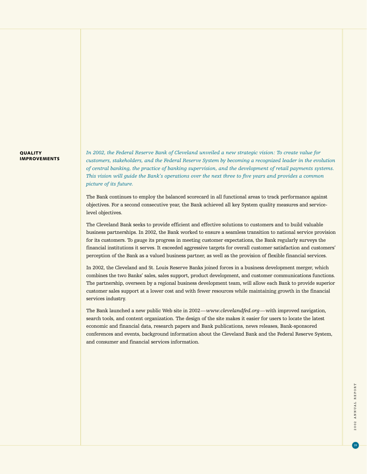### **QUALITY** IMPROVEMENTS

*In 2002, the Federal Reserve Bank of Cleveland unveiled a new strategic vision: To create value for customers, stakeholders, and the Federal Reserve System by becoming a recognized leader in the evolution of central banking, the practice of banking supervision, and the development of retail payments systems. This vision will guide the Bank's operations over the next three to five years and provides a common picture of its future.*

The Bank continues to employ the balanced scorecard in all functional areas to track performance against objectives. For a second consecutive year, the Bank achieved all key System quality measures and servicelevel objectives.

The Cleveland Bank seeks to provide efficient and effective solutions to customers and to build valuable business partnerships. In 2002, the Bank worked to ensure a seamless transition to national service provision for its customers. To gauge its progress in meeting customer expectations, the Bank regularly surveys the financial institutions it serves. It exceeded aggressive targets for overall customer satisfaction and customers' perception of the Bank as a valued business partner, as well as the provision of flexible financial services.

In 2002, the Cleveland and St. Louis Reserve Banks joined forces in a business development merger, which combines the two Banks' sales, sales support, product development, and customer communications functions. The partnership, overseen by a regional business development team, will allow each Bank to provide superior customer sales support at a lower cost and with fewer resources while maintaining growth in the financial services industry.

The Bank launched a new public Web site in 2002—*www.clevelandfed.org*—with improved navigation, search tools, and content organization. The design of the site makes it easier for users to locate the latest economic and financial data, research papers and Bank publications, news releases, Bank-sponsored conferences and events, background information about the Cleveland Bank and the Federal Reserve System, and consumer and financial services information.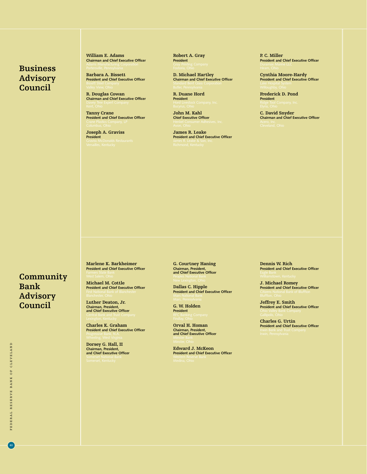# **Business Advisory Council**

**William E. Adams Chairman and Chief Executive Officer**

**Barbara A. Bissett President and Chief Executive Officer**

**R. Douglas Cowan Chairman and Chief Executive Officer**

**Tanny Crane President and Chief Executive Officer**

**Joseph A. Graviss President**

**Robert A. Gray President**

**D. Michael Hartley Chairman and Chief Executive Officer**

**R. Duane Hord President**

**John M. Kahl Chief Executive Officer**

**James R. Leake President and Chief Executive Officer** **P. C. Miller President and Chief Executive Officer**

**Cynthia Moore-Hardy President and Chief Executive Officer**

**Frederick D. Pond President**

**C. David Snyder Chairman and Chief Executive Officer**

# **Community Bank Advisory Council**

**Marlene K. Barkheimer President and Chief Executive Officer**

**Michael M. Cottle President and Chief Executive Officer**

**Luther Deaton, Jr. Chairman, President, and Chief Executive Officer**

**Charles K. Graham President and Chief Executive Officer**

**Dorsey G. Hall, II Chairman, President, and Chief Executive Officer** **G. Courtney Haning Chairman, President, and Chief Executive Officer**

**Dallas C. Hipple President and Chief Executive Officer**

**G. W. Holden President**

**Orval H. Homan Chairman, President, and Chief Executive Officer**

**Edward J. McKeon President and Chief Executive Officer** **Dennis W. Rich President and Chief Executive Officer**

**J. Michael Romey President and Chief Executive Officer**

**Jeffrey E. Smith President and Chief Executive Officer**

**Charles G. Urtin President and Chief Executive Officer**

 $40$